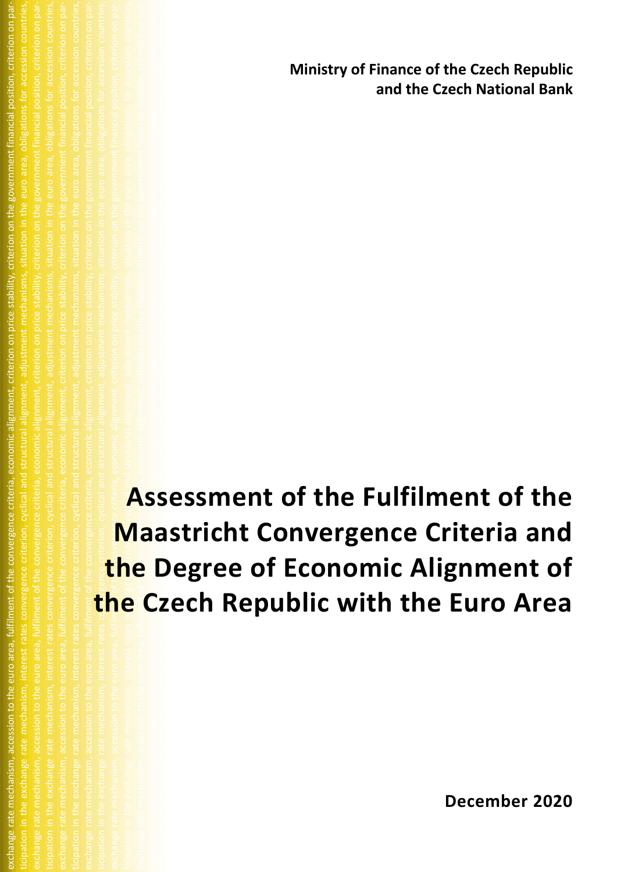**Ministry of Finance of the Czech Republic and the Czech National Bank**

ticipation in the exchange rate mechanism, interest rates convergence criterion, cyclical and structural alignment, adjustment mechanisms, situation in the euro area, obligations for accession countries, exchange rate mechanism, accession to the euro area, fulfilment of the convergence criteria, economic alignment, criterion on price stability, criterion on the government financial position, criterion on participation in the exchanige rate mechanism, interest rates convergence convergence convergence criterion, convergence criterion, interest rate mechanisms, interestions for accession countries, exchange rate mechanism, accession to the euro area, fulfilment of the convergence criteria, on price stability, criterion on the government financial position, criterion on participation interest rates convergence criterion, interest rates convergence convergence criterion, adjustment, adjustment, adjustment mechanisms, situations for accession countries, and obligations for accession countries exchange rate mechanism, accession to the convergence criteria, economic alignment, criteria, economic alignment, c ticipation interest rates convergence convergence convergence convergence convergence convergence convergence <br>Situation in the euro area, obligations for accession countries, situations for accession countries, and struc exchange rate mechanism, accession to the convergence criteria, economic alignment, criteria, economic alignment, c  $\frac{1}{2}$  interest rates convergence convergence convergence convergence convergence convergence convergence convergence convergence convergence convergence convergence converge  $\frac{1}{2}$ fulfilment of the convergence criteria, economic alignment, criterion on price stability, criterion on the government financial position, criterion on partes convergence criterion, cyclical and structural alignment, adjust criteria, financial area, countries, countries, and counter-**Assessment of the Fulfilment of the Maastricht Convergence Criteria and the Degree of Economic Alignment of the Czech Republic with the Euro Area**

exchange rate mechanism, accession to the euro area, fulfilment of the convergence criteria, economic alignment, criterion on price stability, criterion on the government financial position, criterion on participation in the exchange rate mechanism, interest rates convergence criterion, cyclical and structural alignment, adjustment mechanisms, situation in the euro area, obligations for accession countries,

area, obligations for accession countries,

**December 2020**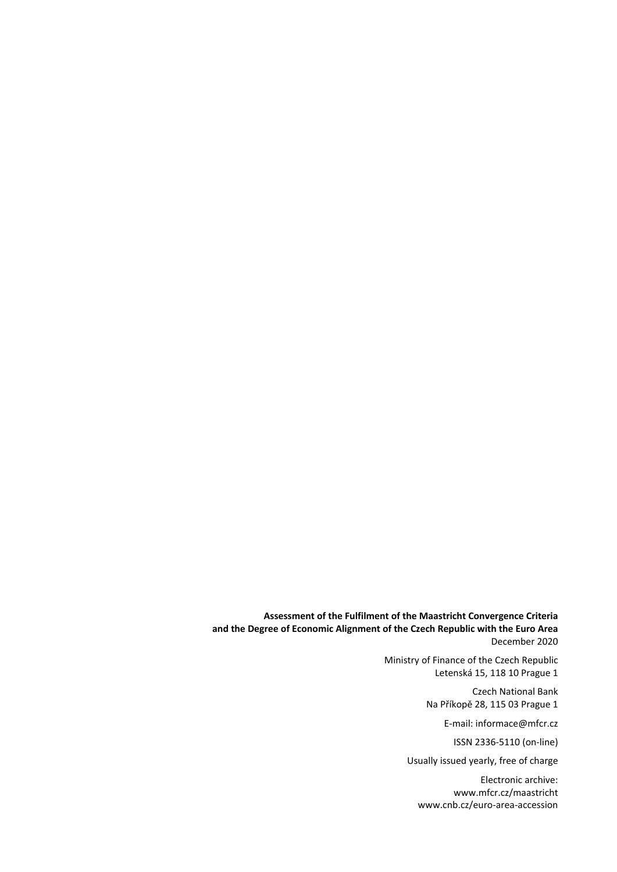**Assessment of the Fulfilment of the Maastricht Convergence Criteria and the Degree of Economic Alignment of the Czech Republic with the Euro Area** December 2020

> Ministry of Finance of the Czech Republic Letenská 15, 118 10 Prague 1

> > Czech National Bank Na Příkopě 28, 115 03 Prague 1

> > > E-mail: informace@mfcr.cz

ISSN 2336-5110 (on-line)

Usually issued yearly, free of charge

Electronic archive: www.mfcr.cz/maastricht [www.cnb.cz/euro-area-accession](https://www.cnb.cz/en/monetary-policy/strategic-documents/euro-area-accession/)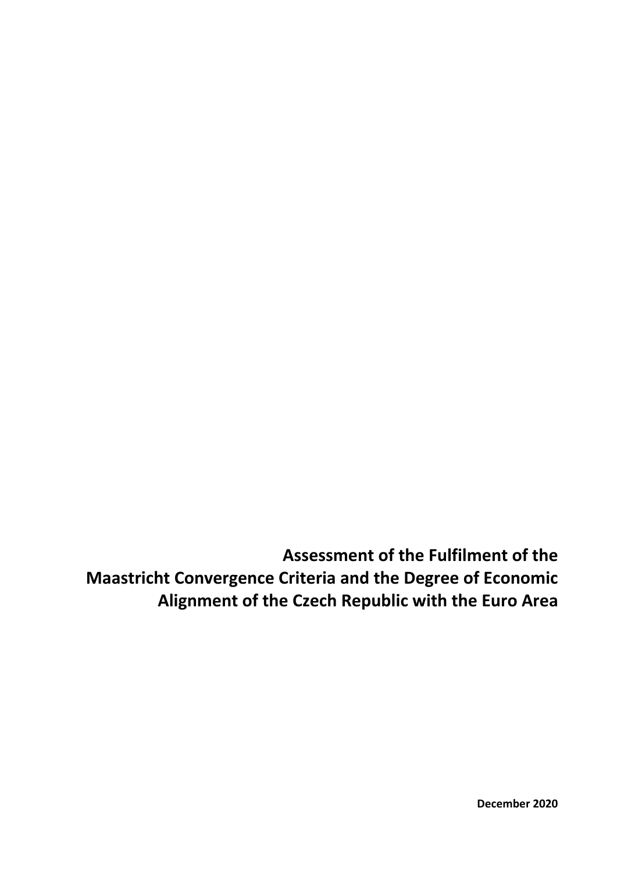**Assessment of the Fulfilment of the Maastricht Convergence Criteria and the Degree of Economic Alignment of the Czech Republic with the Euro Area**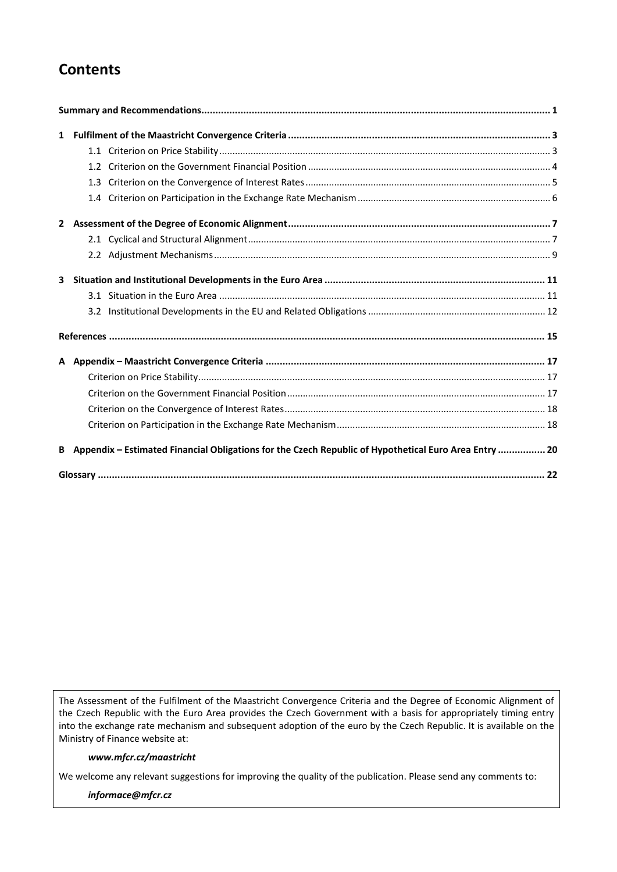# **Contents**

| 3 |                                                                                                       |  |
|---|-------------------------------------------------------------------------------------------------------|--|
|   |                                                                                                       |  |
|   |                                                                                                       |  |
|   |                                                                                                       |  |
|   |                                                                                                       |  |
|   |                                                                                                       |  |
|   |                                                                                                       |  |
|   |                                                                                                       |  |
|   |                                                                                                       |  |
| B | Appendix - Estimated Financial Obligations for the Czech Republic of Hypothetical Euro Area Entry  20 |  |
|   |                                                                                                       |  |

The Assessment of the Fulfilment of the Maastricht Convergence Criteria and the Degree of Economic Alignment of the Czech Republic with the Euro Area provides the Czech Government with a basis for appropriately timing entry into the exchange rate mechanism and subsequent adoption of the euro by the Czech Republic. It is available on the Ministry of Finance website at:

#### *www.mfcr.cz/maastricht*

We welcome any relevant suggestions for improving the quality of the publication. Please send any comments to:

*[informace@mfcr.cz](mailto:informace@mfcr.cz)*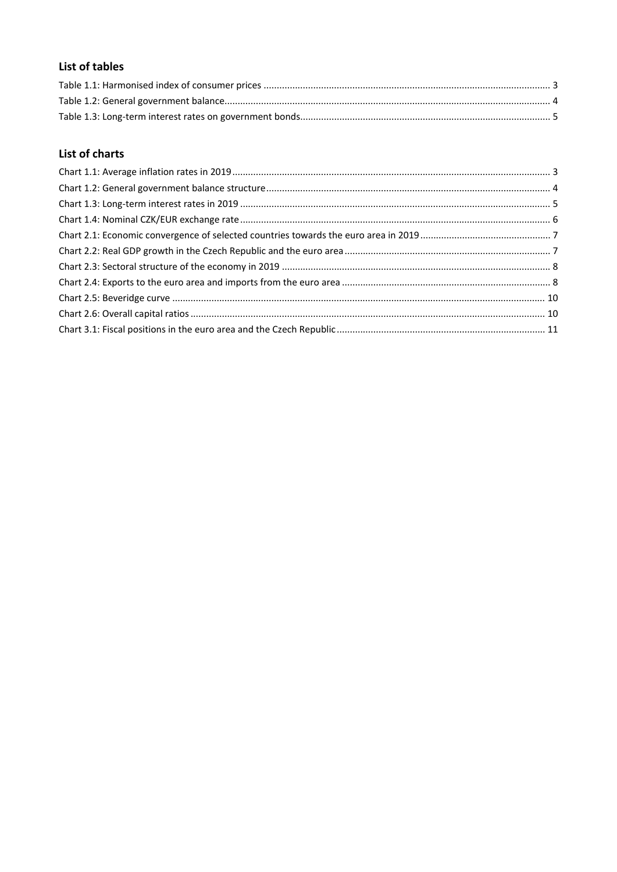# List of tables

# **List of charts**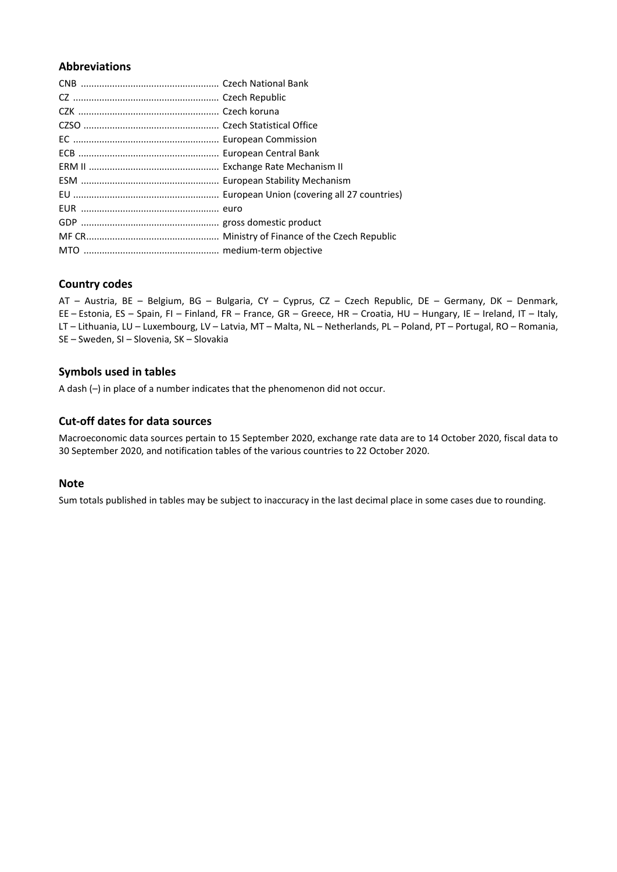## **Abbreviations**

## **Country codes**

AT – Austria, BE – Belgium, BG – Bulgaria, CY – Cyprus, CZ – Czech Republic, DE – Germany, DK – Denmark, EE – Estonia, ES – Spain, FI – Finland, FR – France, GR – Greece, HR – Croatia, HU – Hungary, IE – Ireland, IT – Italy, LT – Lithuania, LU – Luxembourg, LV – Latvia, MT – Malta, NL – Netherlands, PL – Poland, PT – Portugal, RO – Romania, SE – Sweden, SI – Slovenia, SK – Slovakia

## **Symbols used in tables**

A dash (–) in place of a number indicates that the phenomenon did not occur.

## **Cut-off dates for data sources**

Macroeconomic data sources pertain to 15 September 2020, exchange rate data are to 14 October 2020, fiscal data to 30 September 2020, and notification tables of the various countries to 22 October 2020.

#### **Note**

Sum totals published in tables may be subject to inaccuracy in the last decimal place in some cases due to rounding.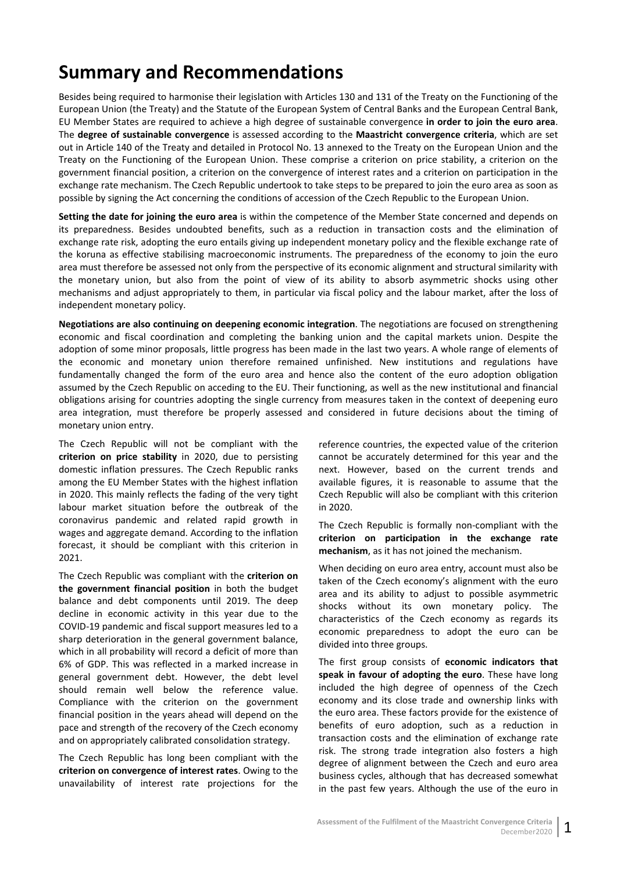<span id="page-6-0"></span>Besides being required to harmonise their legislation with Articles 130 and 131 of the Treaty on the Functioning of the European Union (the Treaty) and the Statute of the European System of Central Banks and the European Central Bank, EU Member States are required to achieve a high degree of sustainable convergence **in order to join the euro area**. The **degree of sustainable convergence** is assessed according to the **Maastricht convergence criteria**, which are set out in Article 140 of the Treaty and detailed in Protocol No. 13 annexed to the Treaty on the European Union and the Treaty on the Functioning of the European Union. These comprise a criterion on price stability, a criterion on the government financial position, a criterion on the convergence of interest rates and a criterion on participation in the exchange rate mechanism. The Czech Republic undertook to take steps to be prepared to join the euro area as soon as possible by signing the Act concerning the conditions of accession of the Czech Republic to the European Union.

**Setting the date for joining the euro area** is within the competence of the Member State concerned and depends on its preparedness. Besides undoubted benefits, such as a reduction in transaction costs and the elimination of exchange rate risk, adopting the euro entails giving up independent monetary policy and the flexible exchange rate of the koruna as effective stabilising macroeconomic instruments. The preparedness of the economy to join the euro area must therefore be assessed not only from the perspective of its economic alignment and structural similarity with the monetary union, but also from the point of view of its ability to absorb asymmetric shocks using other mechanisms and adjust appropriately to them, in particular via fiscal policy and the labour market, after the loss of independent monetary policy.

**Negotiations are also continuing on deepening economic integration**. The negotiations are focused on strengthening economic and fiscal coordination and completing the banking union and the capital markets union. Despite the adoption of some minor proposals, little progress has been made in the last two years. A whole range of elements of the economic and monetary union therefore remained unfinished. New institutions and regulations have fundamentally changed the form of the euro area and hence also the content of the euro adoption obligation assumed by the Czech Republic on acceding to the EU. Their functioning, as well as the new institutional and financial obligations arising for countries adopting the single currency from measures taken in the context of deepening euro area integration, must therefore be properly assessed and considered in future decisions about the timing of monetary union entry.

The Czech Republic will not be compliant with the **criterion on price stability** in 2020, due to persisting domestic inflation pressures. The Czech Republic ranks among the EU Member States with the highest inflation in 2020. This mainly reflects the fading of the very tight labour market situation before the outbreak of the coronavirus pandemic and related rapid growth in wages and aggregate demand. According to the inflation forecast, it should be compliant with this criterion in 2021.

The Czech Republic was compliant with the **criterion on the government financial position** in both the budget balance and debt components until 2019. The deep decline in economic activity in this year due to the COVID-19 pandemic and fiscal support measures led to a sharp deterioration in the general government balance, which in all probability will record a deficit of more than 6% of GDP. This was reflected in a marked increase in general government debt. However, the debt level should remain well below the reference value. Compliance with the criterion on the government financial position in the years ahead will depend on the pace and strength of the recovery of the Czech economy and on appropriately calibrated consolidation strategy.

The Czech Republic has long been compliant with the **criterion on convergence of interest rates**. Owing to the unavailability of interest rate projections for the

reference countries, the expected value of the criterion cannot be accurately determined for this year and the next. However, based on the current trends and available figures, it is reasonable to assume that the Czech Republic will also be compliant with this criterion in 2020.

The Czech Republic is formally non-compliant with the **criterion on participation in the exchange rate mechanism**, as it has not joined the mechanism.

When deciding on euro area entry, account must also be taken of the Czech economy's alignment with the euro area and its ability to adjust to possible asymmetric shocks without its own monetary policy. The characteristics of the Czech economy as regards its economic preparedness to adopt the euro can be divided into three groups.

The first group consists of **economic indicators that speak in favour of adopting the euro**. These have long included the high degree of openness of the Czech economy and its close trade and ownership links with the euro area. These factors provide for the existence of benefits of euro adoption, such as a reduction in transaction costs and the elimination of exchange rate risk. The strong trade integration also fosters a high degree of alignment between the Czech and euro area business cycles, although that has decreased somewhat in the past few years. Although the use of the euro in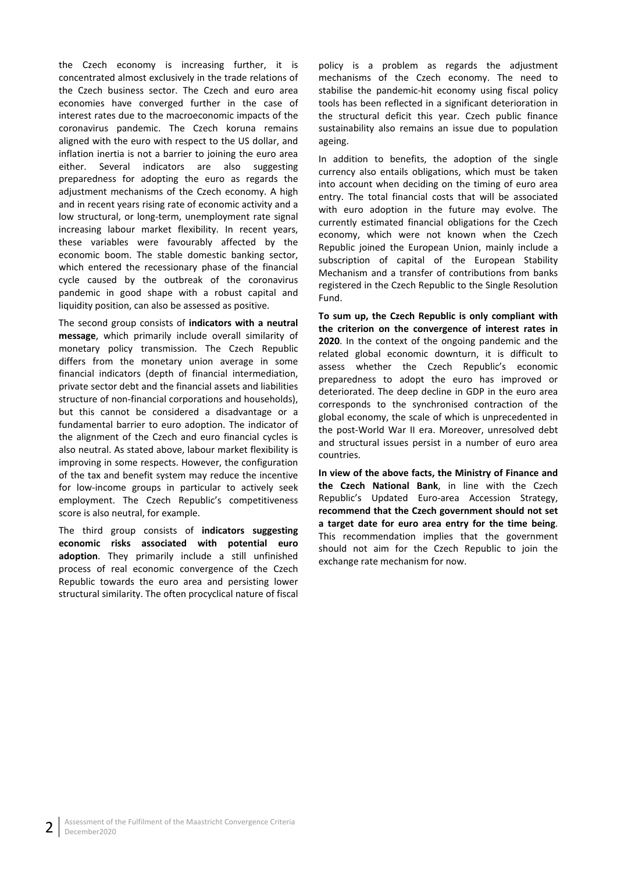the Czech economy is increasing further, it is concentrated almost exclusively in the trade relations of the Czech business sector. The Czech and euro area economies have converged further in the case of interest rates due to the macroeconomic impacts of the coronavirus pandemic. The Czech koruna remains aligned with the euro with respect to the US dollar, and inflation inertia is not a barrier to joining the euro area either. Several indicators are also suggesting preparedness for adopting the euro as regards the adjustment mechanisms of the Czech economy. A high and in recent years rising rate of economic activity and a low structural, or long-term, unemployment rate signal increasing labour market flexibility. In recent years, these variables were favourably affected by the economic boom. The stable domestic banking sector, which entered the recessionary phase of the financial cycle caused by the outbreak of the coronavirus pandemic in good shape with a robust capital and liquidity position, can also be assessed as positive.

The second group consists of **indicators with a neutral message**, which primarily include overall similarity of monetary policy transmission. The Czech Republic differs from the monetary union average in some financial indicators (depth of financial intermediation, private sector debt and the financial assets and liabilities structure of non-financial corporations and households), but this cannot be considered a disadvantage or a fundamental barrier to euro adoption. The indicator of the alignment of the Czech and euro financial cycles is also neutral. As stated above, labour market flexibility is improving in some respects. However, the configuration of the tax and benefit system may reduce the incentive for low-income groups in particular to actively seek employment. The Czech Republic's competitiveness score is also neutral, for example.

The third group consists of **indicators suggesting economic risks associated with potential euro adoption**. They primarily include a still unfinished process of real economic convergence of the Czech Republic towards the euro area and persisting lower structural similarity. The often procyclical nature of fiscal policy is a problem as regards the adjustment mechanisms of the Czech economy. The need to stabilise the pandemic-hit economy using fiscal policy tools has been reflected in a significant deterioration in the structural deficit this year. Czech public finance sustainability also remains an issue due to population ageing.

In addition to benefits, the adoption of the single currency also entails obligations, which must be taken into account when deciding on the timing of euro area entry. The total financial costs that will be associated with euro adoption in the future may evolve. The currently estimated financial obligations for the Czech economy, which were not known when the Czech Republic joined the European Union, mainly include a subscription of capital of the European Stability Mechanism and a transfer of contributions from banks registered in the Czech Republic to the Single Resolution Fund.

**To sum up, the Czech Republic is only compliant with the criterion on the convergence of interest rates in 2020**. In the context of the ongoing pandemic and the related global economic downturn, it is difficult to assess whether the Czech Republic's economic preparedness to adopt the euro has improved or deteriorated. The deep decline in GDP in the euro area corresponds to the synchronised contraction of the global economy, the scale of which is unprecedented in the post-World War II era. Moreover, unresolved debt and structural issues persist in a number of euro area countries.

**In view of the above facts, the Ministry of Finance and the Czech National Bank**, in line with the Czech Republic's Updated Euro-area Accession Strategy, **recommend that the Czech government should not set a target date for euro area entry for the time being**. This recommendation implies that the government should not aim for the Czech Republic to join the exchange rate mechanism for now.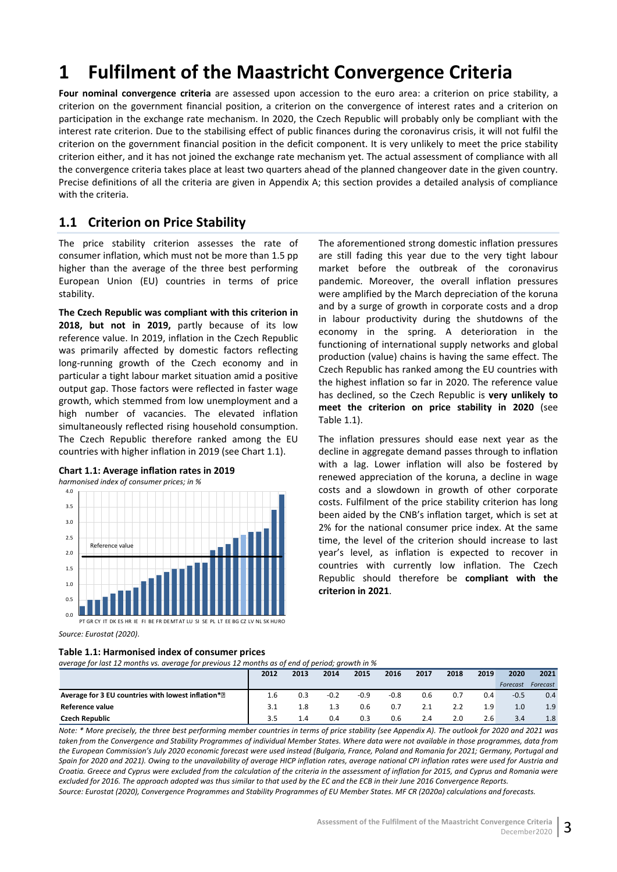# <span id="page-8-0"></span>**1 Fulfilment of the Maastricht Convergence Criteria**

**Four nominal convergence criteria** are assessed upon accession to the euro area: a criterion on price stability, a criterion on the government financial position, a criterion on the convergence of interest rates and a criterion on participation in the exchange rate mechanism. In 2020, the Czech Republic will probably only be compliant with the interest rate criterion. Due to the stabilising effect of public finances during the coronavirus crisis, it will not fulfil the criterion on the government financial position in the deficit component. It is very unlikely to meet the price stability criterion either, and it has not joined the exchange rate mechanism yet. The actual assessment of compliance with all the convergence criteria takes place at least two quarters ahead of the planned changeover date in the given country. Precise definitions of all the criteria are given in Appendix A; this section provides a detailed analysis of compliance with the criteria.

# <span id="page-8-1"></span>**1.1 Criterion on Price Stability**

The price stability criterion assesses the rate of consumer inflation, which must not be more than 1.5 pp higher than the average of the three best performing European Union (EU) countries in terms of price stability.

**The Czech Republic was compliant with this criterion in 2018, but not in 2019,** partly because of its low reference value. In 2019, inflation in the Czech Republic was primarily affected by domestic factors reflecting long-running growth of the Czech economy and in particular a tight labour market situation amid a positive output gap. Those factors were reflected in faster wage growth, which stemmed from low unemployment and a high number of vacancies. The elevated inflation simultaneously reflected rising household consumption. The Czech Republic therefore ranked among the EU countries with higher inflation in 2019 (see Chart 1.1).

<span id="page-8-3"></span>



*Source: Eurostat (2020)*.

#### <span id="page-8-2"></span>**Table 1.1: Harmonised index of consumer prices**

*average for last 12 months vs. average for previous 12 months as of end of period; growth in %*

The aforementioned strong domestic inflation pressures are still fading this year due to the very tight labour market before the outbreak of the coronavirus pandemic. Moreover, the overall inflation pressures were amplified by the March depreciation of the koruna and by a surge of growth in corporate costs and a drop in labour productivity during the shutdowns of the economy in the spring. A deterioration in the functioning of international supply networks and global production (value) chains is having the same effect. The Czech Republic has ranked among the EU countries with the highest inflation so far in 2020. The reference value has declined, so the Czech Republic is **very unlikely to meet the criterion on price stability in 2020** (see Table 1.1).

The inflation pressures should ease next year as the decline in aggregate demand passes through to inflation with a lag. Lower inflation will also be fostered by renewed appreciation of the koruna, a decline in wage costs and a slowdown in growth of other corporate costs. Fulfilment of the price stability criterion has long been aided by the CNB's inflation target, which is set at 2% for the national consumer price index. At the same time, the level of the criterion should increase to last year's level, as inflation is expected to recover in countries with currently low inflation. The Czech Republic should therefore be **compliant with the criterion in 2021**.

| average for last 12 months vs. average for previous 12 months as of end of period, growth in 70 |      |      |        |        |        |      |      |      |          |          |
|-------------------------------------------------------------------------------------------------|------|------|--------|--------|--------|------|------|------|----------|----------|
|                                                                                                 | 2012 | 2013 | 2014   | 2015   | 2016   | 2017 | 2018 | 2019 | 2020     | 2021     |
|                                                                                                 |      |      |        |        |        |      |      |      | Forecast | Forecast |
| Average for 3 EU countries with lowest inflation* <sup>[2]</sup>                                | 1.6  | 0.3  | $-0.2$ | $-0.9$ | $-0.8$ | 0.6  | 0.7  | 0.4  | $-0.5$   | 0.4      |
| Reference value                                                                                 |      |      | 1.3    | 0.6    | 0.7    | 2.1  | 2.2  | 1.9  | 1.0      | 1.9      |
| <b>Czech Republic</b>                                                                           | 3.5  | 1.4  | 0.4    | 0.3    | 0.6    | 2.4  | 2.0  | 2.6  | 3.4      | 1.8      |

*Note: \* More precisely, the three best performing member countries in terms of price stability (see Appendix A). The outlook for 2020 and 2021 was taken from the Convergence and Stability Programmes of individual Member States. Where data were not available in those programmes, data from the European Commission's July 2020 economic forecast were used instead (Bulgaria, France, Poland and Romania for 2021; Germany, Portugal and Spain for 2020 and 2021). Owing to the unavailability of average HICP inflation rates, average national CPI inflation rates were used for Austria and Croatia. Greece and Cyprus were excluded from the calculation of the criteria in the assessment of inflation for 2015, and Cyprus and Romania were excluded for 2016. The approach adopted was thus similar to that used by the EC and the ECB in their June 2016 Convergence Reports. Source: Eurostat (2020), Convergence Programmes and Stability Programmes of EU Member States. MF CR (2020a) calculations and forecasts.*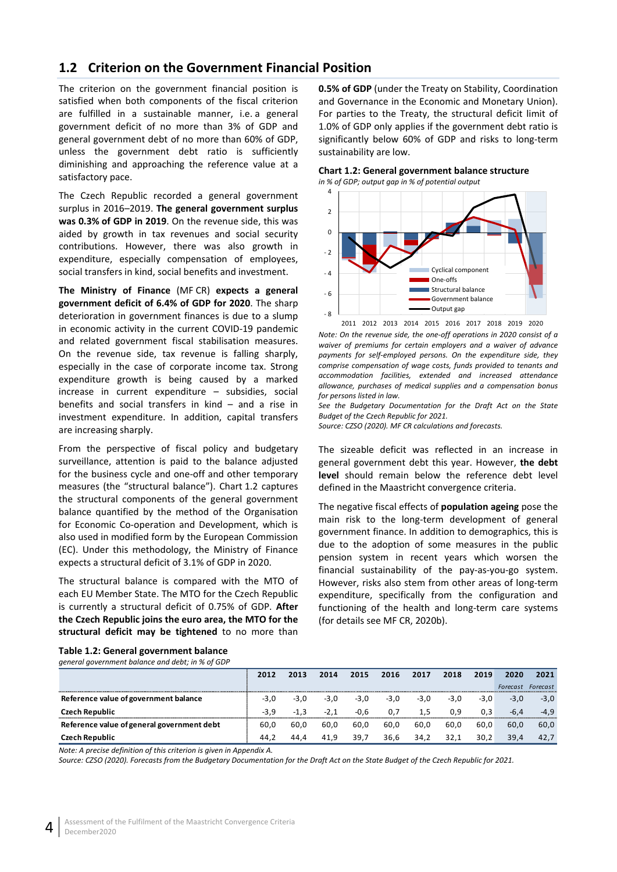# <span id="page-9-0"></span>**1.2 Criterion on the Government Financial Position**

The criterion on the government financial position is satisfied when both components of the fiscal criterion are fulfilled in a sustainable manner, i.e. a general government deficit of no more than 3% of GDP and general government debt of no more than 60% of GDP, unless the government debt ratio is sufficiently diminishing and approaching the reference value at a satisfactory pace.

The Czech Republic recorded a general government surplus in 2016–2019. **The general government surplus was 0.3% of GDP in 2019**. On the revenue side, this was aided by growth in tax revenues and social security contributions. However, there was also growth in expenditure, especially compensation of employees, social transfers in kind, social benefits and investment.

**The Ministry of Finance** (MF CR) **expects a general government deficit of 6.4% of GDP for 2020**. The sharp deterioration in government finances is due to a slump in economic activity in the current COVID-19 pandemic and related government fiscal stabilisation measures. On the revenue side, tax revenue is falling sharply, especially in the case of corporate income tax. Strong expenditure growth is being caused by a marked increase in current expenditure – subsidies, social benefits and social transfers in kind – and a rise in investment expenditure. In addition, capital transfers are increasing sharply.

From the perspective of fiscal policy and budgetary surveillance, attention is paid to the balance adjusted for the business cycle and one-off and other temporary measures (the "structural balance"). Chart 1.2 captures the structural components of the general government balance quantified by the method of the Organisation for Economic Co-operation and Development, which is also used in modified form by the European Commission (EC). Under this methodology, the Ministry of Finance expects a structural deficit of 3.1% of GDP in 2020.

The structural balance is compared with the MTO of each EU Member State. The MTO for the Czech Republic is currently a structural deficit of 0.75% of GDP. **After the Czech Republic joins the euro area, the MTO for the structural deficit may be tightened** to no more than

**0.5% of GDP** (under the Treaty on Stability, Coordination and Governance in the Economic and Monetary Union). For parties to the Treaty, the structural deficit limit of 1.0% of GDP only applies if the government debt ratio is significantly below 60% of GDP and risks to long-term sustainability are low.

#### <span id="page-9-2"></span>**Chart 1.2: General government balance structure** *in % of GDP; output gap in % of potential output*



*Note: On the revenue side, the one-off operations in 2020 consist of a waiver of premiums for certain employers and a waiver of advance payments for self-employed persons. On the expenditure side, they comprise compensation of wage costs, funds provided to tenants and accommodation facilities, extended and increased attendance allowance, purchases of medical supplies and a compensation bonus for persons listed in law.* 2011 2012 2013 2014 2015 2016 2017 2018 2019 2020

*See the Budgetary Documentation for the Draft Act on the State Budget of the Czech Republic for 2021.*

*Source: CZSO (2020). MF CR calculations and forecasts.*

The sizeable deficit was reflected in an increase in general government debt this year. However, **the debt level** should remain below the reference debt level defined in the Maastricht convergence criteria.

The negative fiscal effects of **population ageing** pose the main risk to the long-term development of general government finance. In addition to demographics, this is due to the adoption of some measures in the public pension system in recent years which worsen the financial sustainability of the pay-as-you-go system. However, risks also stem from other areas of long-term expenditure, specifically from the configuration and functioning of the health and long-term care systems (for details see MF CR, 2020b).

| general government balance and debt; in % of GDP |        |        |        |        |        |      |        |        |          |          |
|--------------------------------------------------|--------|--------|--------|--------|--------|------|--------|--------|----------|----------|
|                                                  | 2012   | 2013   | 2014   | 2015   | 2016   | 2017 | 2018   | 2019   | 2020     | 2021     |
|                                                  |        |        |        |        |        |      |        |        | Forecast | Forecast |
| Reference value of government balance            | $-3.0$ | $-3.0$ | $-3.0$ | $-3.0$ | $-3,0$ | -3.0 | $-3.0$ | $-3.0$ | $-3.0$   | $-3.0$   |
| <b>Czech Republic</b>                            | $-3.9$ | $-1.3$ | $-2.1$ | $-0.6$ | 0.7    | 1.5  | 0.9    | 0.3    | $-6.4$   | -4.9     |
| Reference value of general government debt       | 60.0   | 60.0   | 60.0   | 60.0   | 60.0   | 60.0 | 60.0   | 60.0   | 60.0     | 60.0     |
| <b>Czech Republic</b>                            | 44.2   | 44.4   | 41.9   | 39,7   | 36,6   | 34,2 | 32.1   | 30.2   | 39.4     | 42.7     |

<span id="page-9-1"></span>**Table 1.2: General government balance**

*general government balance and debt; in % of GDP*

*Note: A precise definition of this criterion is given in Appendix A.*

*Source: CZSO (2020). Forecasts from the Budgetary Documentation for the Draft Act on the State Budget of the Czech Republic for 2021.*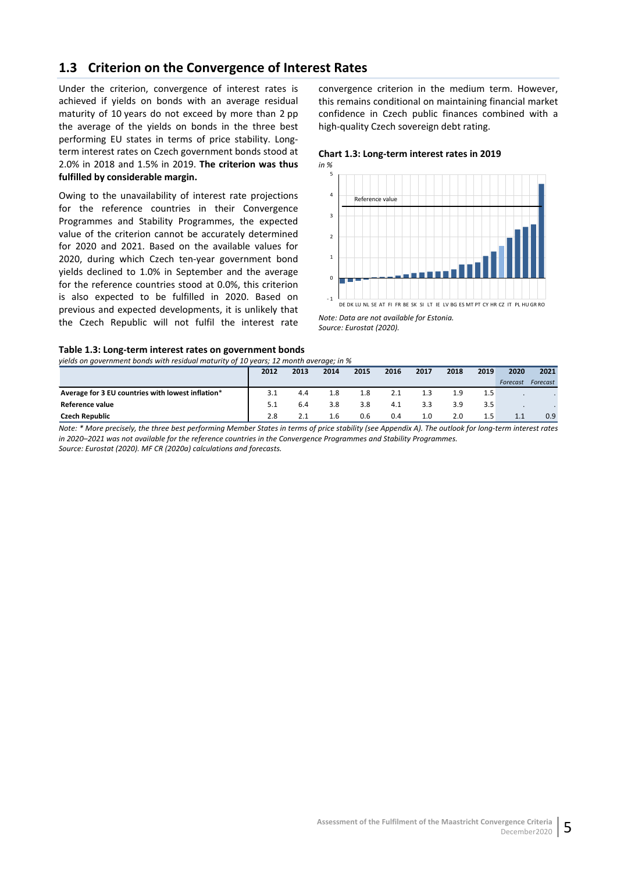# <span id="page-10-0"></span>**1.3 Criterion on the Convergence of Interest Rates**

Under the criterion, convergence of interest rates is achieved if yields on bonds with an average residual maturity of 10 years do not exceed by more than 2 pp the average of the yields on bonds in the three best performing EU states in terms of price stability. Longterm interest rates on Czech government bonds stood at 2.0% in 2018 and 1.5% in 2019. **The criterion was thus fulfilled by considerable margin.**

Owing to the unavailability of interest rate projections for the reference countries in their Convergence Programmes and Stability Programmes, the expected value of the criterion cannot be accurately determined for 2020 and 2021. Based on the available values for 2020, during which Czech ten-year government bond yields declined to 1.0% in September and the average for the reference countries stood at 0.0%, this criterion is also expected to be fulfilled in 2020. Based on previous and expected developments, it is unlikely that the Czech Republic will not fulfil the interest rate convergence criterion in the medium term. However, this remains conditional on maintaining financial market confidence in Czech public finances combined with a high-quality Czech sovereign debt rating.

<span id="page-10-2"></span>**Chart 1.3: Long-term interest rates in 2019** *in %*



*Note: Data are not available for Estonia. Source: Eurostat (2020).*

#### <span id="page-10-1"></span>**Table 1.3: Long-term interest rates on government bonds** *yields on government bonds with residual maturity of 10 years; 12 month average; in %*

| yields on government bonds with residual maturity of 10 years; 12 month average; in % |      |      |      |      |      |      |      |      |          |          |
|---------------------------------------------------------------------------------------|------|------|------|------|------|------|------|------|----------|----------|
|                                                                                       | 2012 | 2013 | 2014 | 2015 | 2016 | 2017 | 2018 | 2019 | 2020     | 2021     |
|                                                                                       |      |      |      |      |      |      |      |      | Forecast | Forecast |
| Average for 3 EU countries with lowest inflation*                                     | 3.1  | 4.4  | 1.8  | 1.8  |      |      | 1.9  | 1.5  |          |          |
| Reference value                                                                       |      | 6.4  | 3.8  | 3.8  | 4.1  | 3.3  | 3.9  | 3.5  |          |          |
| <b>Czech Republic</b>                                                                 | 2.8  |      | 1.6  | 0.6  | 0.4  | 1.0  | 2.0  | 1.5  |          | 0.9      |

*Note: \* More precisely, the three best performing Member States in terms of price stability (see Appendix A). The outlook for long-term interest rates in 2020–2021 was not available for the reference countries in the Convergence Programmes and Stability Programmes.*

*Source: Eurostat (2020). MF CR (2020a) calculations and forecasts.*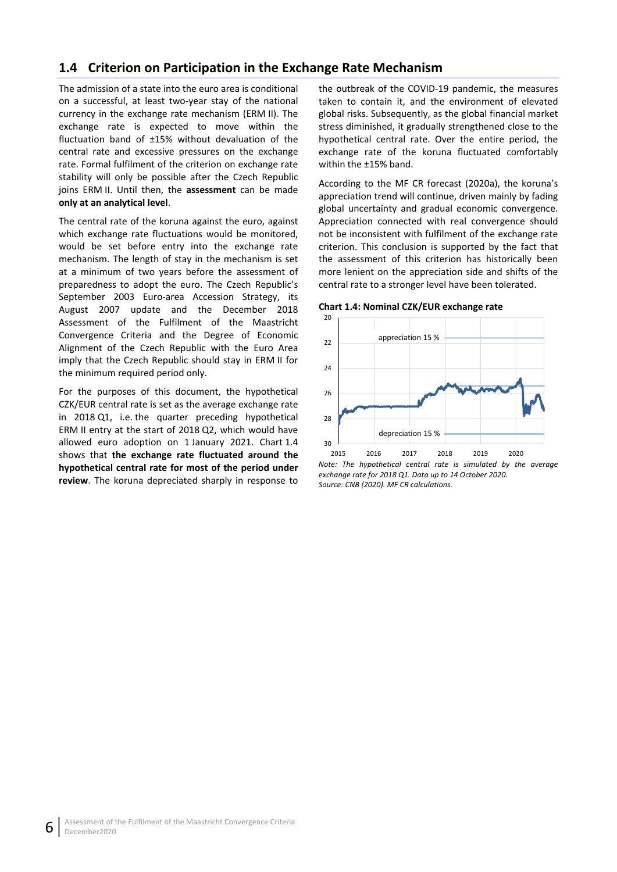# <span id="page-11-0"></span>**1.4 Criterion on Participation in the Exchange Rate Mechanism**

The admission of a state into the euro area is conditional on a successful, at least two-year stay of the national currency in the exchange rate mechanism (ERM II). The exchange rate is expected to move within the fluctuation band of ±15% without devaluation of the central rate and excessive pressures on the exchange rate. Formal fulfilment of the criterion on exchange rate stability will only be possible after the Czech Republic joins ERM II. Until then, the **assessment** can be made **only at an analytical level**.

The central rate of the koruna against the euro, against which exchange rate fluctuations would be monitored, would be set before entry into the exchange rate mechanism. The length of stay in the mechanism is set at a minimum of two years before the assessment of preparedness to adopt the euro. The Czech Republic's September 2003 Euro-area Accession Strategy, its August 2007 update and the December 2018 Assessment of the Fulfilment of the Maastricht Convergence Criteria and the Degree of Economic Alignment of the Czech Republic with the Euro Area imply that the Czech Republic should stay in ERM II for the minimum required period only.

For the purposes of this document, the hypothetical CZK/EUR central rate is set as the average exchange rate in 2018 Q1, i.e. the quarter preceding hypothetical ERM II entry at the start of 2018 Q2, which would have allowed euro adoption on 1 January 2021. Chart 1.4 shows that **the exchange rate fluctuated around the hypothetical central rate for most of the period under review**. The koruna depreciated sharply in response to

the outbreak of the COVID-19 pandemic, the measures taken to contain it, and the environment of elevated global risks. Subsequently, as the global financial market stress diminished, it gradually strengthened close to the hypothetical central rate. Over the entire period, the exchange rate of the koruna fluctuated comfortably within the ±15% band.

According to the MF CR forecast (2020a), the koruna's appreciation trend will continue, driven mainly by fading global uncertainty and gradual economic convergence. Appreciation connected with real convergence should not be inconsistent with fulfilment of the exchange rate criterion. This conclusion is supported by the fact that the assessment of this criterion has historically been more lenient on the appreciation side and shifts of the central rate to a stronger level have been tolerated.

#### <span id="page-11-1"></span>**Chart 1.4: Nominal CZK/EUR exchange rate**



*Note: The hypothetical central rate is simulated by the average exchange rate for 2018 Q1. Data up to 14 October 2020. Source: CNB (2020). MF CR calculations.*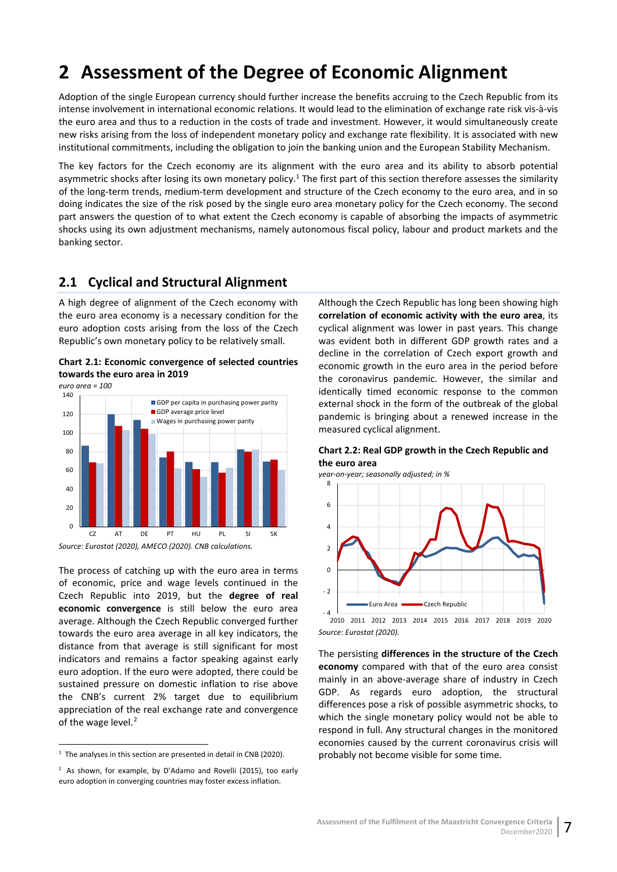# <span id="page-12-0"></span>**2 Assessment of the Degree of Economic Alignment**

Adoption of the single European currency should further increase the benefits accruing to the Czech Republic from its intense involvement in international economic relations. It would lead to the elimination of exchange rate risk vis-à-vis the euro area and thus to a reduction in the costs of trade and investment. However, it would simultaneously create new risks arising from the loss of independent monetary policy and exchange rate flexibility. It is associated with new institutional commitments, including the obligation to join the banking union and the European Stability Mechanism.

The key factors for the Czech economy are its alignment with the euro area and its ability to absorb potential asymmetric shocks after losing its own monetary policy.<sup>1</sup> The first part of this section therefore assesses the similarity of the long-term trends, medium-term development and structure of the Czech economy to the euro area, and in so doing indicates the size of the risk posed by the single euro area monetary policy for the Czech economy. The second part answers the question of to what extent the Czech economy is capable of absorbing the impacts of asymmetric shocks using its own adjustment mechanisms, namely autonomous fiscal policy, labour and product markets and the banking sector.

## <span id="page-12-1"></span>**2.1 Cyclical and Structural Alignment**

A high degree of alignment of the Czech economy with the euro area economy is a necessary condition for the euro adoption costs arising from the loss of the Czech Republic's own monetary policy to be relatively small.

<span id="page-12-2"></span>**Chart 2.1: Economic convergence of selected countries towards the euro area in 2019**



The process of catching up with the euro area in terms of economic, price and wage levels continued in the Czech Republic into 2019, but the **degree of real economic convergence** is still below the euro area average. Although the Czech Republic converged further towards the euro area average in all key indicators, the distance from that average is still significant for most indicators and remains a factor speaking against early euro adoption. If the euro were adopted, there could be sustained pressure on domestic inflation to rise above the CNB's current 2% target due to equilibrium appreciation of the real exchange rate and convergence

of the wage level.<sup>[2](#page-12-5)</sup>

Although the Czech Republic has long been showing high **correlation of economic activity with the euro area**, its cyclical alignment was lower in past years. This change was evident both in different GDP growth rates and a decline in the correlation of Czech export growth and economic growth in the euro area in the period before the coronavirus pandemic. However, the similar and identically timed economic response to the common external shock in the form of the outbreak of the global pandemic is bringing about a renewed increase in the measured cyclical alignment.

#### <span id="page-12-3"></span>**Chart 2.2: Real GDP growth in the Czech Republic and the euro area**

*year-on-year; seasonally adjusted; in %*



*Source: Eurostat (2020).*

The persisting **differences in the structure of the Czech economy** compared with that of the euro area consist mainly in an above-average share of industry in Czech GDP. As regards euro adoption, the structural differences pose a risk of possible asymmetric shocks, to which the single monetary policy would not be able to respond in full. Any structural changes in the monitored economies caused by the current coronavirus crisis will probably not become visible for some time.

<span id="page-12-4"></span> $1$  The analyses in this section are presented in detail in CNB (2020).

<span id="page-12-5"></span><sup>&</sup>lt;sup>2</sup> As shown, for example, by D'Adamo and Rovelli (2015), too early euro adoption in converging countries may foster excess inflation.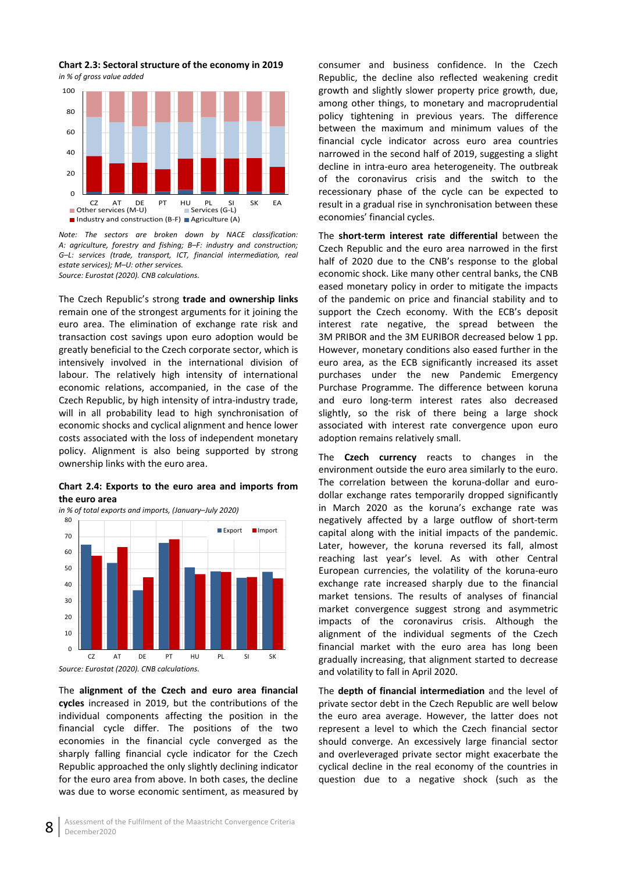<span id="page-13-0"></span>**Chart 2.3: Sectoral structure of the economy in 2019** *in % of gross value added*



*Note: The sectors are broken down by NACE classification: A: agriculture, forestry and fishing; B–F: industry and construction; G–L: services (trade, transport, ICT, financial intermediation, real estate services); M–U: other services. Source: Eurostat (2020). CNB calculations.*

The Czech Republic's strong **trade and ownership links** remain one of the strongest arguments for it joining the euro area. The elimination of exchange rate risk and transaction cost savings upon euro adoption would be greatly beneficial to the Czech corporate sector, which is intensively involved in the international division of labour. The relatively high intensity of international economic relations, accompanied, in the case of the Czech Republic, by high intensity of intra-industry trade, will in all probability lead to high synchronisation of economic shocks and cyclical alignment and hence lower costs associated with the loss of independent monetary policy. Alignment is also being supported by strong ownership links with the euro area.

<span id="page-13-1"></span>**Chart 2.4: Exports to the euro area and imports from the euro area**



The **alignment of the Czech and euro area financial cycles** increased in 2019, but the contributions of the individual components affecting the position in the financial cycle differ. The positions of the two economies in the financial cycle converged as the sharply falling financial cycle indicator for the Czech Republic approached the only slightly declining indicator for the euro area from above. In both cases, the decline was due to worse economic sentiment, as measured by consumer and business confidence. In the Czech Republic, the decline also reflected weakening credit growth and slightly slower property price growth, due, among other things, to monetary and macroprudential policy tightening in previous years. The difference between the maximum and minimum values of the financial cycle indicator across euro area countries narrowed in the second half of 2019, suggesting a slight decline in intra-euro area heterogeneity. The outbreak of the coronavirus crisis and the switch to the recessionary phase of the cycle can be expected to result in a gradual rise in synchronisation between these economies' financial cycles.

The **short-term interest rate differential** between the Czech Republic and the euro area narrowed in the first half of 2020 due to the CNB's response to the global economic shock. Like many other central banks, the CNB eased monetary policy in order to mitigate the impacts of the pandemic on price and financial stability and to support the Czech economy. With the ECB's deposit interest rate negative, the spread between the 3M PRIBOR and the 3M EURIBOR decreased below 1 pp. However, monetary conditions also eased further in the euro area, as the ECB significantly increased its asset purchases under the new Pandemic Emergency Purchase Programme. The difference between koruna and euro long-term interest rates also decreased slightly, so the risk of there being a large shock associated with interest rate convergence upon euro adoption remains relatively small.

The **Czech currency** reacts to changes in the environment outside the euro area similarly to the euro. The correlation between the koruna-dollar and eurodollar exchange rates temporarily dropped significantly in March 2020 as the koruna's exchange rate was negatively affected by a large outflow of short-term capital along with the initial impacts of the pandemic. Later, however, the koruna reversed its fall, almost reaching last year's level. As with other Central European currencies, the volatility of the koruna-euro exchange rate increased sharply due to the financial market tensions. The results of analyses of financial market convergence suggest strong and asymmetric impacts of the coronavirus crisis. Although the alignment of the individual segments of the Czech financial market with the euro area has long been gradually increasing, that alignment started to decrease and volatility to fall in April 2020.

The **depth of financial intermediation** and the level of private sector debt in the Czech Republic are well below the euro area average. However, the latter does not represent a level to which the Czech financial sector should converge. An excessively large financial sector and overleveraged private sector might exacerbate the cyclical decline in the real economy of the countries in question due to a negative shock (such as the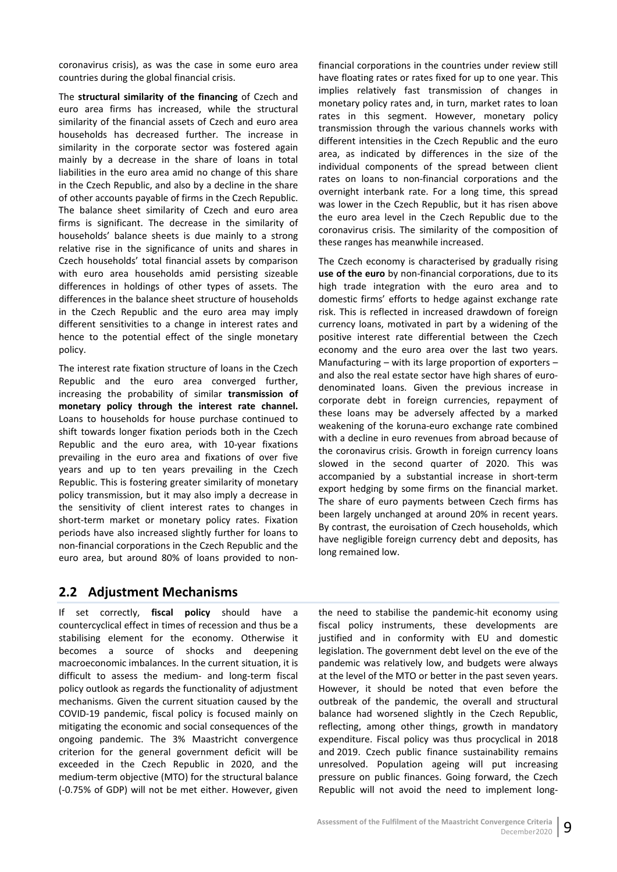coronavirus crisis), as was the case in some euro area countries during the global financial crisis.

The **structural similarity of the financing** of Czech and euro area firms has increased, while the structural similarity of the financial assets of Czech and euro area households has decreased further. The increase in similarity in the corporate sector was fostered again mainly by a decrease in the share of loans in total liabilities in the euro area amid no change of this share in the Czech Republic, and also by a decline in the share of other accounts payable of firms in the Czech Republic. The balance sheet similarity of Czech and euro area firms is significant. The decrease in the similarity of households' balance sheets is due mainly to a strong relative rise in the significance of units and shares in Czech households' total financial assets by comparison with euro area households amid persisting sizeable differences in holdings of other types of assets. The differences in the balance sheet structure of households in the Czech Republic and the euro area may imply different sensitivities to a change in interest rates and hence to the potential effect of the single monetary policy.

The interest rate fixation structure of loans in the Czech Republic and the euro area converged further, increasing the probability of similar **transmission of monetary policy through the interest rate channel.** Loans to households for house purchase continued to shift towards longer fixation periods both in the Czech Republic and the euro area, with 10-year fixations prevailing in the euro area and fixations of over five years and up to ten years prevailing in the Czech Republic. This is fostering greater similarity of monetary policy transmission, but it may also imply a decrease in the sensitivity of client interest rates to changes in short-term market or monetary policy rates. Fixation periods have also increased slightly further for loans to non-financial corporations in the Czech Republic and the euro area, but around 80% of loans provided to nonfinancial corporations in the countries under review still have floating rates or rates fixed for up to one year. This implies relatively fast transmission of changes in monetary policy rates and, in turn, market rates to loan rates in this segment. However, monetary policy transmission through the various channels works with different intensities in the Czech Republic and the euro area, as indicated by differences in the size of the individual components of the spread between client rates on loans to non-financial corporations and the overnight interbank rate. For a long time, this spread was lower in the Czech Republic, but it has risen above the euro area level in the Czech Republic due to the coronavirus crisis. The similarity of the composition of these ranges has meanwhile increased.

The Czech economy is characterised by gradually rising **use of the euro** by non-financial corporations, due to its high trade integration with the euro area and to domestic firms' efforts to hedge against exchange rate risk. This is reflected in increased drawdown of foreign currency loans, motivated in part by a widening of the positive interest rate differential between the Czech economy and the euro area over the last two years. Manufacturing – with its large proportion of exporters – and also the real estate sector have high shares of eurodenominated loans. Given the previous increase in corporate debt in foreign currencies, repayment of these loans may be adversely affected by a marked weakening of the koruna-euro exchange rate combined with a decline in euro revenues from abroad because of the coronavirus crisis. Growth in foreign currency loans slowed in the second quarter of 2020. This was accompanied by a substantial increase in short-term export hedging by some firms on the financial market. The share of euro payments between Czech firms has been largely unchanged at around 20% in recent years. By contrast, the euroisation of Czech households, which have negligible foreign currency debt and deposits, has long remained low.

## <span id="page-14-0"></span>**2.2 Adjustment Mechanisms**

If set correctly, **fiscal policy** should have a countercyclical effect in times of recession and thus be a stabilising element for the economy. Otherwise it becomes a source of shocks and deepening macroeconomic imbalances. In the current situation, it is difficult to assess the medium- and long-term fiscal policy outlook as regards the functionality of adjustment mechanisms. Given the current situation caused by the COVID-19 pandemic, fiscal policy is focused mainly on mitigating the economic and social consequences of the ongoing pandemic. The 3% Maastricht convergence criterion for the general government deficit will be exceeded in the Czech Republic in 2020, and the medium-term objective (MTO) for the structural balance (-0.75% of GDP) will not be met either. However, given

the need to stabilise the pandemic-hit economy using fiscal policy instruments, these developments are justified and in conformity with EU and domestic legislation. The government debt level on the eve of the pandemic was relatively low, and budgets were always at the level of the MTO or better in the past seven years. However, it should be noted that even before the outbreak of the pandemic, the overall and structural balance had worsened slightly in the Czech Republic, reflecting, among other things, growth in mandatory expenditure. Fiscal policy was thus procyclical in 2018 and 2019. Czech public finance sustainability remains unresolved. Population ageing will put increasing pressure on public finances. Going forward, the Czech Republic will not avoid the need to implement long-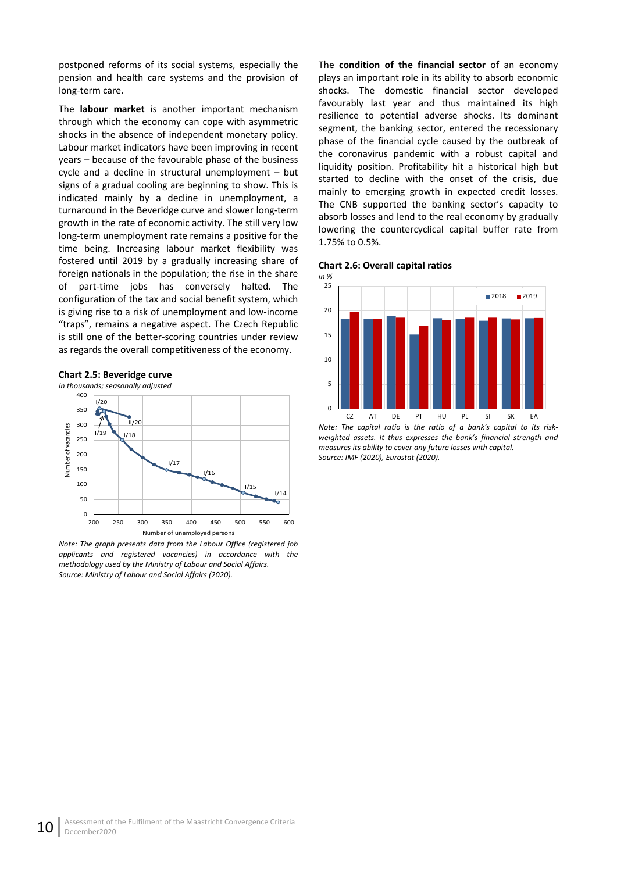postponed reforms of its social systems, especially the pension and health care systems and the provision of long-term care.

The **labour market** is another important mechanism through which the economy can cope with asymmetric shocks in the absence of independent monetary policy. Labour market indicators have been improving in recent years – because of the favourable phase of the business cycle and a decline in structural unemployment – but signs of a gradual cooling are beginning to show. This is indicated mainly by a decline in unemployment, a turnaround in the Beveridge curve and slower long-term growth in the rate of economic activity. The still very low long-term unemployment rate remains a positive for the time being. Increasing labour market flexibility was fostered until 2019 by a gradually increasing share of foreign nationals in the population; the rise in the share of part-time jobs has conversely halted. The configuration of the tax and social benefit system, which is giving rise to a risk of unemployment and low-income "traps", remains a negative aspect. The Czech Republic is still one of the better-scoring countries under review as regards the overall competitiveness of the economy.

#### <span id="page-15-0"></span>**Chart 2.5: Beveridge curve**



*Note: The graph presents data from the Labour Office (registered job applicants and registered vacancies) in accordance with the methodology used by the Ministry of Labour and Social Affairs. Source: Ministry of Labour and Social Affairs (2020).*

The **condition of the financial sector** of an economy plays an important role in its ability to absorb economic shocks. The domestic financial sector developed favourably last year and thus maintained its high resilience to potential adverse shocks. Its dominant segment, the banking sector, entered the recessionary phase of the financial cycle caused by the outbreak of the coronavirus pandemic with a robust capital and liquidity position. Profitability hit a historical high but started to decline with the onset of the crisis, due mainly to emerging growth in expected credit losses. The CNB supported the banking sector's capacity to absorb losses and lend to the real economy by gradually lowering the countercyclical capital buffer rate from 1.75% to 0.5%.

<span id="page-15-1"></span>



*Note: The capital ratio is the ratio of a bank's capital to its riskweighted assets. It thus expresses the bank's financial strength and measures its ability to cover any future losses with capital. Source: IMF (2020), Eurostat (2020).*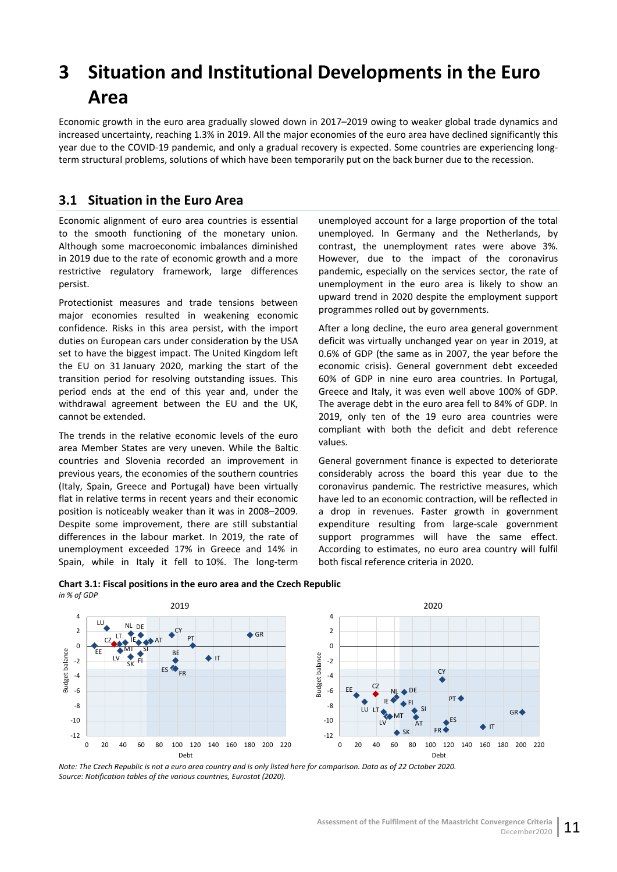# <span id="page-16-0"></span>**3 Situation and Institutional Developments in the Euro Area**

Economic growth in the euro area gradually slowed down in 2017–2019 owing to weaker global trade dynamics and increased uncertainty, reaching 1.3% in 2019. All the major economies of the euro area have declined significantly this year due to the COVID-19 pandemic, and only a gradual recovery is expected. Some countries are experiencing longterm structural problems, solutions of which have been temporarily put on the back burner due to the recession.

# <span id="page-16-1"></span>**3.1 Situation in the Euro Area**

Economic alignment of euro area countries is essential to the smooth functioning of the monetary union. Although some macroeconomic imbalances diminished in 2019 due to the rate of economic growth and a more restrictive regulatory framework, large differences persist.

Protectionist measures and trade tensions between major economies resulted in weakening economic confidence. Risks in this area persist, with the import duties on European cars under consideration by the USA set to have the biggest impact. The United Kingdom left the EU on 31 January 2020, marking the start of the transition period for resolving outstanding issues. This period ends at the end of this year and, under the withdrawal agreement between the EU and the UK, cannot be extended.

The trends in the relative economic levels of the euro area Member States are very uneven. While the Baltic countries and Slovenia recorded an improvement in previous years, the economies of the southern countries (Italy, Spain, Greece and Portugal) have been virtually flat in relative terms in recent years and their economic position is noticeably weaker than it was in 2008–2009. Despite some improvement, there are still substantial differences in the labour market. In 2019, the rate of unemployment exceeded 17% in Greece and 14% in Spain, while in Italy it fell to 10%. The long-term unemployed account for a large proportion of the total unemployed. In Germany and the Netherlands, by contrast, the unemployment rates were above 3%. However, due to the impact of the coronavirus pandemic, especially on the services sector, the rate of unemployment in the euro area is likely to show an upward trend in 2020 despite the employment support programmes rolled out by governments.

After a long decline, the euro area general government deficit was virtually unchanged year on year in 2019, at 0.6% of GDP (the same as in 2007, the year before the economic crisis). General government debt exceeded 60% of GDP in nine euro area countries. In Portugal, Greece and Italy, it was even well above 100% of GDP. The average debt in the euro area fell to 84% of GDP. In 2019, only ten of the 19 euro area countries were compliant with both the deficit and debt reference values.

General government finance is expected to deteriorate considerably across the board this year due to the coronavirus pandemic. The restrictive measures, which have led to an economic contraction, will be reflected in a drop in revenues. Faster growth in government expenditure resulting from large-scale government support programmes will have the same effect. According to estimates, no euro area country will fulfil both fiscal reference criteria in 2020.



#### <span id="page-16-2"></span>**Chart 3.1: Fiscal positions in the euro area and the Czech Republic** *in % of GDP*

*Note: The Czech Republic is not a euro area country and is only listed here for comparison. Data as of 22 October 2020. Source: Notification tables of the various countries, Eurostat (2020).*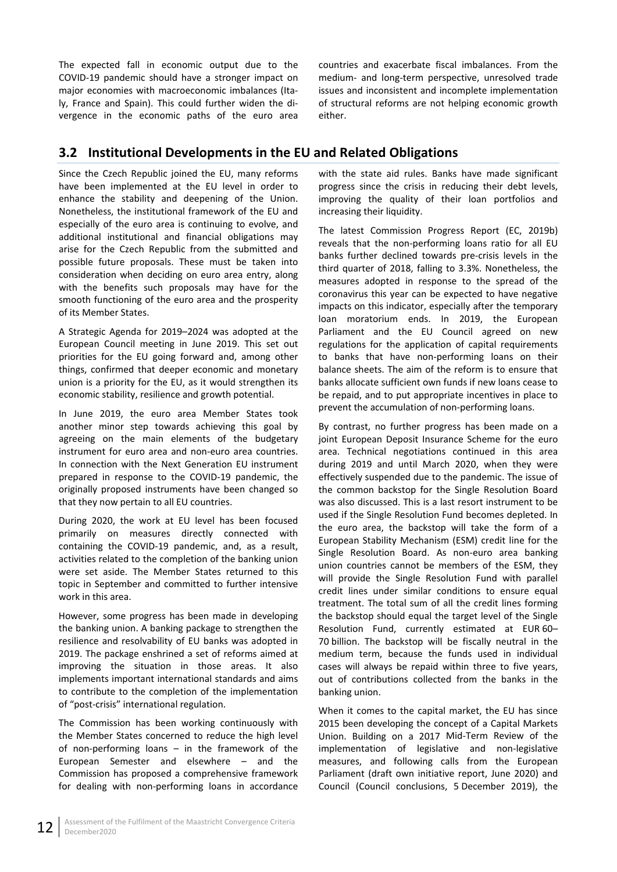The expected fall in economic output due to the COVID-19 pandemic should have a stronger impact on major economies with macroeconomic imbalances (Italy, France and Spain). This could further widen the divergence in the economic paths of the euro area countries and exacerbate fiscal imbalances. From the medium- and long-term perspective, unresolved trade issues and inconsistent and incomplete implementation of structural reforms are not helping economic growth either.

# <span id="page-17-0"></span>**3.2 Institutional Developments in the EU and Related Obligations**

Since the Czech Republic joined the EU, many reforms have been implemented at the EU level in order to enhance the stability and deepening of the Union. Nonetheless, the institutional framework of the EU and especially of the euro area is continuing to evolve, and additional institutional and financial obligations may arise for the Czech Republic from the submitted and possible future proposals. These must be taken into consideration when deciding on euro area entry, along with the benefits such proposals may have for the smooth functioning of the euro area and the prosperity of its Member States.

A Strategic Agenda for 2019–2024 was adopted at the European Council meeting in June 2019. This set out priorities for the EU going forward and, among other things, confirmed that deeper economic and monetary union is a priority for the EU, as it would strengthen its economic stability, resilience and growth potential.

In June 2019, the euro area Member States took another minor step towards achieving this goal by agreeing on the main elements of the budgetary instrument for euro area and non-euro area countries. In connection with the Next Generation EU instrument prepared in response to the COVID-19 pandemic, the originally proposed instruments have been changed so that they now pertain to all EU countries.

During 2020, the work at EU level has been focused primarily on measures directly connected with containing the COVID-19 pandemic, and, as a result, activities related to the completion of the banking union were set aside. The Member States returned to this topic in September and committed to further intensive work in this area.

However, some progress has been made in developing the banking union. A banking package to strengthen the resilience and resolvability of EU banks was adopted in 2019. The package enshrined a set of reforms aimed at improving the situation in those areas. It also implements important international standards and aims to contribute to the completion of the implementation of "post-crisis" international regulation.

The Commission has been working continuously with the Member States concerned to reduce the high level of non-performing loans – in the framework of the European Semester and elsewhere – and the Commission has proposed a comprehensive framework for dealing with non-performing loans in accordance

with the state aid rules. Banks have made significant progress since the crisis in reducing their debt levels, improving the quality of their loan portfolios and increasing their liquidity.

The latest Commission Progress Report (EC, 2019b) reveals that the non-performing loans ratio for all EU banks further declined towards pre-crisis levels in the third quarter of 2018, falling to 3.3%. Nonetheless, the measures adopted in response to the spread of the coronavirus this year can be expected to have negative impacts on this indicator, especially after the temporary loan moratorium ends. In 2019, the European Parliament and the EU Council agreed on new regulations for the application of capital requirements to banks that have non-performing loans on their balance sheets. The aim of the reform is to ensure that banks allocate sufficient own funds if new loans cease to be repaid, and to put appropriate incentives in place to prevent the accumulation of non-performing loans.

By contrast, no further progress has been made on a joint European Deposit Insurance Scheme for the euro area. Technical negotiations continued in this area during 2019 and until March 2020, when they were effectively suspended due to the pandemic. The issue of the common backstop for the Single Resolution Board was also discussed. This is a last resort instrument to be used if the Single Resolution Fund becomes depleted. In the euro area, the backstop will take the form of a European Stability Mechanism (ESM) credit line for the Single Resolution Board. As non-euro area banking union countries cannot be members of the ESM, they will provide the Single Resolution Fund with parallel credit lines under similar conditions to ensure equal treatment. The total sum of all the credit lines forming the backstop should equal the target level of the Single Resolution Fund, currently estimated at EUR 60– 70 billion. The backstop will be fiscally neutral in the medium term, because the funds used in individual cases will always be repaid within three to five years, out of contributions collected from the banks in the banking union.

When it comes to the capital market, the EU has since 2015 been developing the concept of a Capital Markets Union. Building on a 2017 Mid-Term Review of the implementation of legislative and non-legislative measures, and following calls from the European Parliament (draft own initiative report, June 2020) and Council (Council conclusions, 5 December 2019), the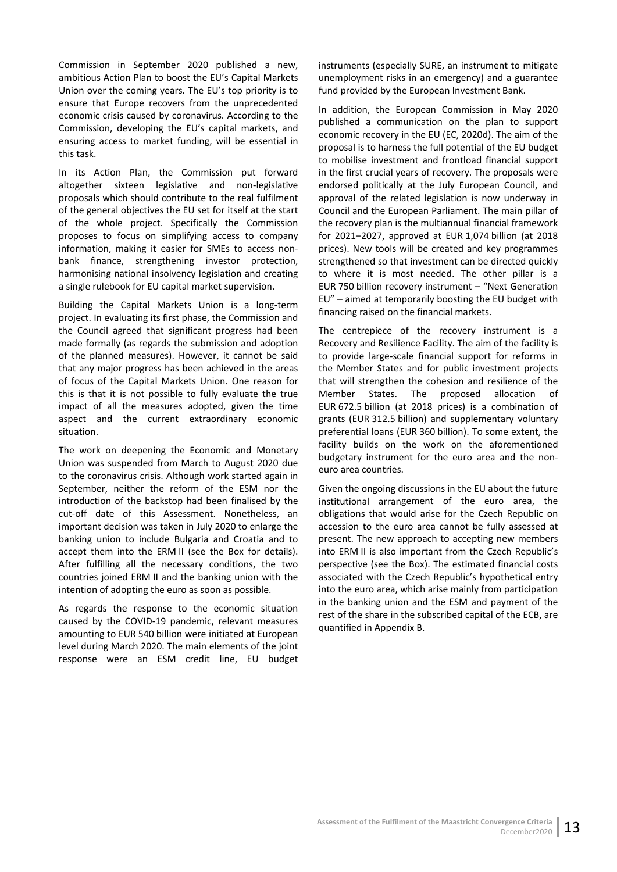Commission in September 2020 published a new, ambitious Action Plan to boost the EU's Capital Markets Union over the coming years. The EU's top priority is to ensure that Europe recovers from the unprecedented economic crisis caused by coronavirus. According to the Commission, developing the EU's capital markets, and ensuring access to market funding, will be essential in this task.

In its Action Plan, the Commission put forward altogether sixteen legislative and non-legislative proposals which should contribute to the real fulfilment of the general objectives the EU set for itself at the start of the whole project. Specifically the Commission proposes to focus on simplifying access to company information, making it easier for SMEs to access nonbank finance, strengthening investor protection, harmonising national insolvency legislation and creating a single rulebook for EU capital market supervision.

Building the Capital Markets Union is a long-term project. In evaluating its first phase, the Commission and the Council agreed that significant progress had been made formally (as regards the submission and adoption of the planned measures). However, it cannot be said that any major progress has been achieved in the areas of focus of the Capital Markets Union. One reason for this is that it is not possible to fully evaluate the true impact of all the measures adopted, given the time aspect and the current extraordinary economic situation.

The work on deepening the Economic and Monetary Union was suspended from March to August 2020 due to the coronavirus crisis. Although work started again in September, neither the reform of the ESM nor the introduction of the backstop had been finalised by the cut-off date of this Assessment. Nonetheless, an important decision was taken in July 2020 to enlarge the banking union to include Bulgaria and Croatia and to accept them into the ERM II (see the Box for details). After fulfilling all the necessary conditions, the two countries joined ERM II and the banking union with the intention of adopting the euro as soon as possible.

As regards the response to the economic situation caused by the COVID-19 pandemic, relevant measures amounting to EUR 540 billion were initiated at European level during March 2020. The main elements of the joint response were an ESM credit line, EU budget

instruments (especially SURE, an instrument to mitigate unemployment risks in an emergency) and a guarantee fund provided by the European Investment Bank.

In addition, the European Commission in May 2020 published a communication on the plan to support economic recovery in the EU (EC, 2020d). The aim of the proposal is to harness the full potential of the EU budget to mobilise investment and frontload financial support in the first crucial years of recovery. The proposals were endorsed politically at the July European Council, and approval of the related legislation is now underway in Council and the European Parliament. The main pillar of the recovery plan is the multiannual financial framework for 2021–2027, approved at EUR 1,074 billion (at 2018 prices). New tools will be created and key programmes strengthened so that investment can be directed quickly to where it is most needed. The other pillar is a EUR 750 billion recovery instrument – "Next Generation EU" – aimed at temporarily boosting the EU budget with financing raised on the financial markets.

The centrepiece of the recovery instrument is a Recovery and Resilience Facility. The aim of the facility is to provide large-scale financial support for reforms in the Member States and for public investment projects that will strengthen the cohesion and resilience of the Member States. The proposed allocation of EUR 672.5 billion (at 2018 prices) is a combination of grants (EUR 312.5 billion) and supplementary voluntary preferential loans (EUR 360 billion). To some extent, the facility builds on the work on the aforementioned budgetary instrument for the euro area and the noneuro area countries.

Given the ongoing discussions in the EU about the future institutional arrangement of the euro area, the obligations that would arise for the Czech Republic on accession to the euro area cannot be fully assessed at present. The new approach to accepting new members into ERM II is also important from the Czech Republic's perspective (see the Box). The estimated financial costs associated with the Czech Republic's hypothetical entry into the euro area, which arise mainly from participation in the banking union and the ESM and payment of the rest of the share in the subscribed capital of the ECB, are quantified in Appendix B.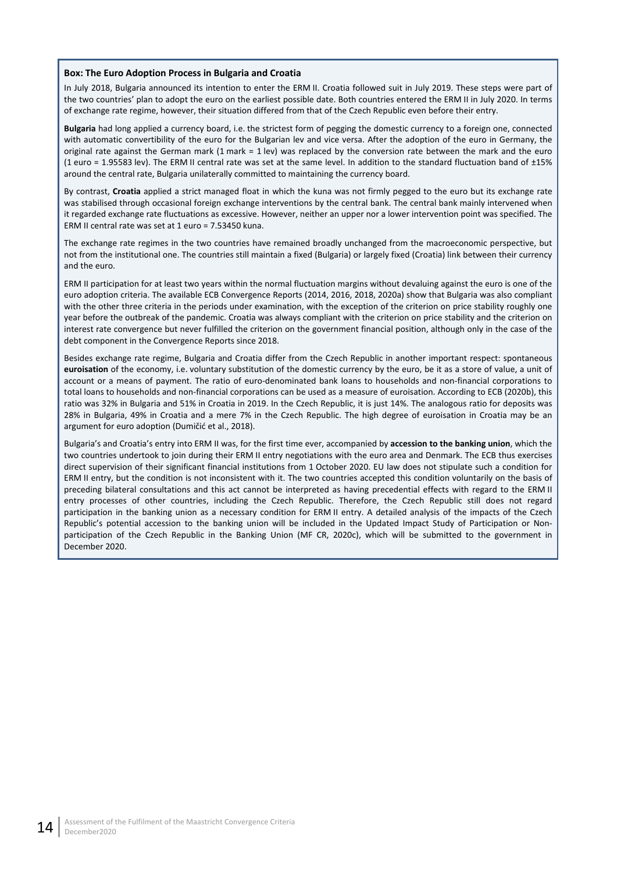#### **Box: The Euro Adoption Process in Bulgaria and Croatia**

In July 2018, Bulgaria announced its intention to enter the ERM II. Croatia followed suit in July 2019. These steps were part of the two countries' plan to adopt the euro on the earliest possible date. Both countries entered the ERM II in July 2020. In terms of exchange rate regime, however, their situation differed from that of the Czech Republic even before their entry.

**Bulgaria** had long applied a currency board, i.e. the strictest form of pegging the domestic currency to a foreign one, connected with automatic convertibility of the euro for the Bulgarian lev and vice versa. After the adoption of the euro in Germany, the original rate against the German mark (1 mark = 1 lev) was replaced by the conversion rate between the mark and the euro (1 euro = 1.95583 lev). The ERM II central rate was set at the same level. In addition to the standard fluctuation band of ±15% around the central rate, Bulgaria unilaterally committed to maintaining the currency board.

By contrast, **Croatia** applied a strict managed float in which the kuna was not firmly pegged to the euro but its exchange rate was stabilised through occasional foreign exchange interventions by the central bank. The central bank mainly intervened when it regarded exchange rate fluctuations as excessive. However, neither an upper nor a lower intervention point was specified. The ERM II central rate was set at 1 euro = 7.53450 kuna.

The exchange rate regimes in the two countries have remained broadly unchanged from the macroeconomic perspective, but not from the institutional one. The countries still maintain a fixed (Bulgaria) or largely fixed (Croatia) link between their currency and the euro.

ERM II participation for at least two years within the normal fluctuation margins without devaluing against the euro is one of the euro adoption criteria. The available ECB Convergence Reports (2014, 2016, 2018, 2020a) show that Bulgaria was also compliant with the other three criteria in the periods under examination, with the exception of the criterion on price stability roughly one year before the outbreak of the pandemic. Croatia was always compliant with the criterion on price stability and the criterion on interest rate convergence but never fulfilled the criterion on the government financial position, although only in the case of the debt component in the Convergence Reports since 2018.

Besides exchange rate regime, Bulgaria and Croatia differ from the Czech Republic in another important respect: spontaneous **euroisation** of the economy, i.e. voluntary substitution of the domestic currency by the euro, be it as a store of value, a unit of account or a means of payment. The ratio of euro-denominated bank loans to households and non-financial corporations to total loans to households and non-financial corporations can be used as a measure of euroisation. According to ECB (2020b), this ratio was 32% in Bulgaria and 51% in Croatia in 2019. In the Czech Republic, it is just 14%. The analogous ratio for deposits was 28% in Bulgaria, 49% in Croatia and a mere 7% in the Czech Republic. The high degree of euroisation in Croatia may be an argument for euro adoption (Dumičić et al., 2018).

Bulgaria's and Croatia's entry into ERM II was, for the first time ever, accompanied by **accession to the banking union**, which the two countries undertook to join during their ERM II entry negotiations with the euro area and Denmark. The ECB thus exercises direct supervision of their significant financial institutions from 1 October 2020. EU law does not stipulate such a condition for ERM II entry, but the condition is not inconsistent with it. The two countries accepted this condition voluntarily on the basis of preceding bilateral consultations and this act cannot be interpreted as having precedential effects with regard to the ERM II entry processes of other countries, including the Czech Republic. Therefore, the Czech Republic still does not regard participation in the banking union as a necessary condition for ERM II entry. A detailed analysis of the impacts of the Czech Republic's potential accession to the banking union will be included in the Updated Impact Study of Participation or Nonparticipation of the Czech Republic in the Banking Union (MF CR, 2020c), which will be submitted to the government in December 2020.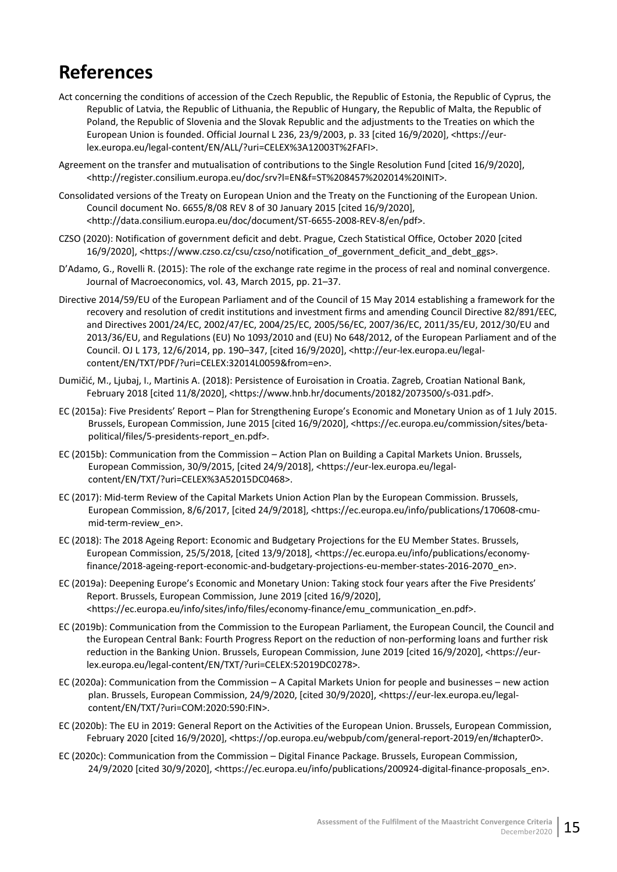# <span id="page-20-0"></span>**References**

- Act concerning the conditions of accession of the Czech Republic, the Republic of Estonia, the Republic of Cyprus, the Republic of Latvia, the Republic of Lithuania, the Republic of Hungary, the Republic of Malta, the Republic of Poland, the Republic of Slovenia and the Slovak Republic and the adjustments to the Treaties on which the European Union is founded. Official Journal L 236, 23/9/2003, p. 33 [cited 16/9/2020], <https://eurlex.europa.eu/legal-content/EN/ALL/?uri=CELEX%3A12003T%2FAFI>.
- Agreement on the transfer and mutualisation of contributions to the Single Resolution Fund [cited 16/9/2020], <http://register.consilium.europa.eu/doc/srv?l=EN&f=ST%208457%202014%20INIT>.
- Consolidated versions of the Treaty on European Union and the Treaty on the Functioning of the European Union. Council document No. 6655/8/08 REV 8 of 30 January 2015 [cited 16/9/2020], <http://data.consilium.europa.eu/doc/document/ST-6655-2008-REV-8/en/pdf>.
- CZSO (2020): Notification of government deficit and debt. Prague, Czech Statistical Office, October 2020 [cited 16/9/2020], <https://www.czso.cz/csu/czso/notification\_of\_government\_deficit\_and\_debt\_ggs>.
- D'Adamo, G., Rovelli R. (2015): The role of the exchange rate regime in the process of real and nominal convergence. Journal of Macroeconomics, vol. 43, March 2015, pp. 21–37.
- Directive 2014/59/EU of the European Parliament and of the Council of 15 May 2014 establishing a framework for the recovery and resolution of credit institutions and investment firms and amending Council Directive 82/891/EEC, and Directives 2001/24/EC, 2002/47/EC, 2004/25/EC, 2005/56/EC, 2007/36/EC, 2011/35/EU, 2012/30/EU and 2013/36/EU, and Regulations (EU) No 1093/2010 and (EU) No 648/2012, of the European Parliament and of the Council. OJ L 173, 12/6/2014, pp. 190–347, [cited 16/9/2020], <http://eur-lex.europa.eu/legalcontent/EN/TXT/PDF/?uri=CELEX:32014L0059&from=en>.
- Dumičić, M., Ljubaj, I., Martinis A. (2018): Persistence of Euroisation in Croatia. Zagreb, Croatian National Bank, February 2018 [cited 11/8/2020], <https://www.hnb.hr/documents/20182/2073500/s-031.pdf>.
- EC (2015a): Five Presidents' Report Plan for Strengthening Europe's Economic and Monetary Union as of 1 July 2015. Brussels, European Commission, June 2015 [cited 16/9/2020], <https://ec.europa.eu/commission/sites/betapolitical/files/5-presidents-report\_en.pdf>.
- EC (2015b): Communication from the Commission Action Plan on Building a Capital Markets Union. Brussels, European Commission, 30/9/2015, [cited 24/9/2018], <https://eur-lex.europa.eu/legalcontent/EN/TXT/?uri=CELEX%3A52015DC0468>.
- EC (2017): Mid-term Review of the Capital Markets Union Action Plan by the European Commission. Brussels, European Commission, 8/6/2017, [cited 24/9/2018], <https://ec.europa.eu/info/publications/170608-cmumid-term-review\_en>.
- EC (2018): The 2018 Ageing Report: Economic and Budgetary Projections for the EU Member States. Brussels, European Commission, 25/5/2018, [cited 13/9/2018], <https://ec.europa.eu/info/publications/economyfinance/2018-ageing-report-economic-and-budgetary-projections-eu-member-states-2016-2070\_en>.
- EC (2019a): Deepening Europe's Economic and Monetary Union: Taking stock four years after the Five Presidents' Report. Brussels, European Commission, June 2019 [cited 16/9/2020], <https://ec.europa.eu/info/sites/info/files/economy-finance/emu\_communication\_en.pdf>.
- EC (2019b): Communication from the Commission to the European Parliament, the European Council, the Council and the European Central Bank: Fourth Progress Report on the reduction of non-performing loans and further risk reduction in the Banking Union. Brussels, European Commission, June 2019 [cited 16/9/2020], <https://eurlex.europa.eu/legal-content/EN/TXT/?uri=CELEX:52019DC0278>.
- EC (2020a): Communication from the Commission A Capital Markets Union for people and businesses new action plan. Brussels, European Commission, 24/9/2020, [cited 30/9/2020], <https://eur-lex.europa.eu/legalcontent/EN/TXT/?uri=COM:2020:590:FIN>.
- EC (2020b): The EU in 2019: General Report on the Activities of the European Union. Brussels, European Commission, February 2020 [cited 16/9/2020], <https://op.europa.eu/webpub/com/general-report-2019/en/#chapter0>.
- EC (2020c): Communication from the Commission Digital Finance Package. Brussels, European Commission, 24/9/2020 [cited 30/9/2020], <https://ec.europa.eu/info/publications/200924-digital-finance-proposals\_en>.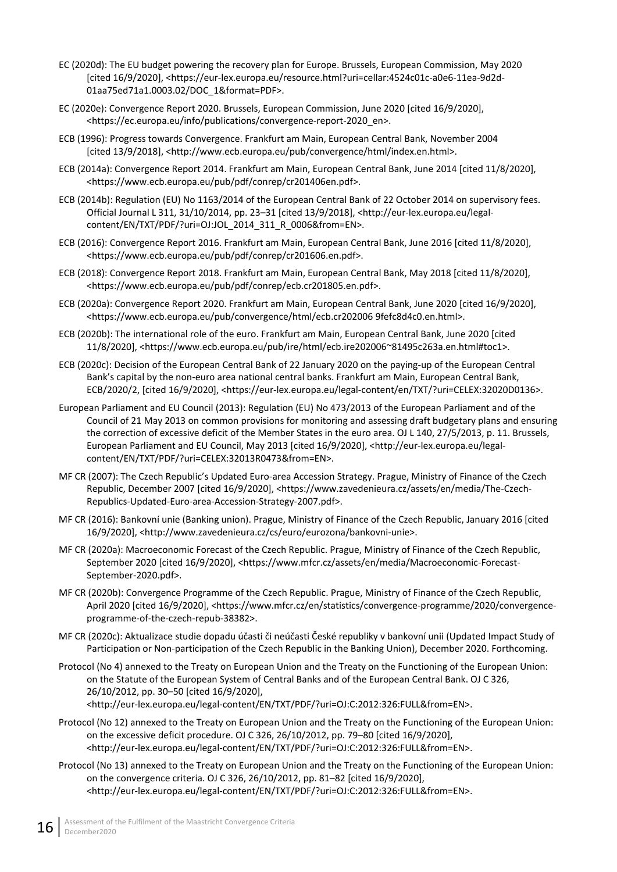- EC (2020d): The EU budget powering the recovery plan for Europe. Brussels, European Commission, May 2020 [cited 16/9/2020], <https://eur-lex.europa.eu/resource.html?uri=cellar:4524c01c-a0e6-11ea-9d2d-01aa75ed71a1.0003.02/DOC\_1&format=PDF>.
- EC (2020e): Convergence Report 2020. Brussels, European Commission, June 2020 [cited 16/9/2020], <https://ec.europa.eu/info/publications/convergence-report-2020\_en>.
- ECB (1996): Progress towards Convergence. Frankfurt am Main, European Central Bank, November 2004 [cited 13/9/2018], <http://www.ecb.europa.eu/pub/convergence/html/index.en.html>.
- ECB (2014a): Convergence Report 2014. Frankfurt am Main, European Central Bank, June 2014 [cited 11/8/2020], <https://www.ecb.europa.eu/pub/pdf/conrep/cr201406en.pdf>.
- ECB (2014b): Regulation (EU) No 1163/2014 of the European Central Bank of 22 October 2014 on supervisory fees. Official Journal L 311, 31/10/2014, pp. 23–31 [cited 13/9/2018], <http://eur-lex.europa.eu/legalcontent/EN/TXT/PDF/?uri=OJ:JOL\_2014\_311\_R\_0006&from=EN>.
- ECB (2016): Convergence Report 2016. Frankfurt am Main, European Central Bank, June 2016 [cited 11/8/2020], <https://www.ecb.europa.eu/pub/pdf/conrep/cr201606.en.pdf>.
- ECB (2018): Convergence Report 2018. Frankfurt am Main, European Central Bank, May 2018 [cited 11/8/2020], <https://www.ecb.europa.eu/pub/pdf/conrep/ecb.cr201805.en.pdf>.
- ECB (2020a): Convergence Report 2020. Frankfurt am Main, European Central Bank, June 2020 [cited 16/9/2020], <https://www.ecb.europa.eu/pub/convergence/html/ecb.cr202006 9fefc8d4c0.en.html>.
- ECB (2020b): The international role of the euro. Frankfurt am Main, European Central Bank, June 2020 [cited 11/8/2020], <https://www.ecb.europa.eu/pub/ire/html/ecb.ire202006~81495c263a.en.html#toc1>.
- ECB (2020c): Decision of the European Central Bank of 22 January 2020 on the paying-up of the European Central Bank's capital by the non-euro area national central banks. Frankfurt am Main, European Central Bank, ECB/2020/2, [cited 16/9/2020], <https://eur-lex.europa.eu/legal-content/en/TXT/?uri=CELEX:32020D0136>.
- European Parliament and EU Council (2013): Regulation (EU) No 473/2013 of the European Parliament and of the Council of 21 May 2013 on common provisions for monitoring and assessing draft budgetary plans and ensuring the correction of excessive deficit of the Member States in the euro area. OJ L 140, 27/5/2013, p. 11. Brussels, European Parliament and EU Council, May 2013 [cited 16/9/2020], <http://eur-lex.europa.eu/legalcontent/EN/TXT/PDF/?uri=CELEX:32013R0473&from=EN>.
- MF CR (2007): The Czech Republic's Updated Euro-area Accession Strategy. Prague, Ministry of Finance of the Czech Republic, December 2007 [cited 16/9/2020], <https://www.zavedenieura.cz/assets/en/media/The-Czech-Republics-Updated-Euro-area-Accession-Strategy-2007.pdf>.
- MF CR (2016): Bankovní unie (Banking union). Prague, Ministry of Finance of the Czech Republic, January 2016 [cited 16/9/2020], <http://www.zavedenieura.cz/cs/euro/eurozona/bankovni-unie>.
- MF CR (2020a): Macroeconomic Forecast of the Czech Republic. Prague, Ministry of Finance of the Czech Republic, September 2020 [cited 16/9/2020], <https://www.mfcr.cz/assets/en/media/Macroeconomic-Forecast-September-2020.pdf>.
- MF CR (2020b): Convergence Programme of the Czech Republic. Prague, Ministry of Finance of the Czech Republic, April 2020 [cited 16/9/2020], <https://www.mfcr.cz/en/statistics/convergence-programme/2020/convergenceprogramme-of-the-czech-repub-38382>.
- MF CR (2020c): Aktualizace studie dopadu účasti či neúčasti České republiky v bankovní unii (Updated Impact Study of Participation or Non-participation of the Czech Republic in the Banking Union), December 2020. Forthcoming.
- Protocol (No 4) annexed to the Treaty on European Union and the Treaty on the Functioning of the European Union: on the Statute of the European System of Central Banks and of the European Central Bank. OJ C 326, 26/10/2012, pp. 30–50 [cited 16/9/2020], <http://eur-lex.europa.eu/legal-content/EN/TXT/PDF/?uri=OJ:C:2012:326:FULL&from=EN>.
- Protocol (No 12) annexed to the Treaty on European Union and the Treaty on the Functioning of the European Union: on the excessive deficit procedure. OJ C 326, 26/10/2012, pp. 79–80 [cited 16/9/2020], <http://eur-lex.europa.eu/legal-content/EN/TXT/PDF/?uri=OJ:C:2012:326:FULL&from=EN>.
- Protocol (No 13) annexed to the Treaty on European Union and the Treaty on the Functioning of the European Union: on the convergence criteria. OJ C 326, 26/10/2012, pp. 81–82 [cited 16/9/2020], <http://eur-lex.europa.eu/legal-content/EN/TXT/PDF/?uri=OJ:C:2012:326:FULL&from=EN>.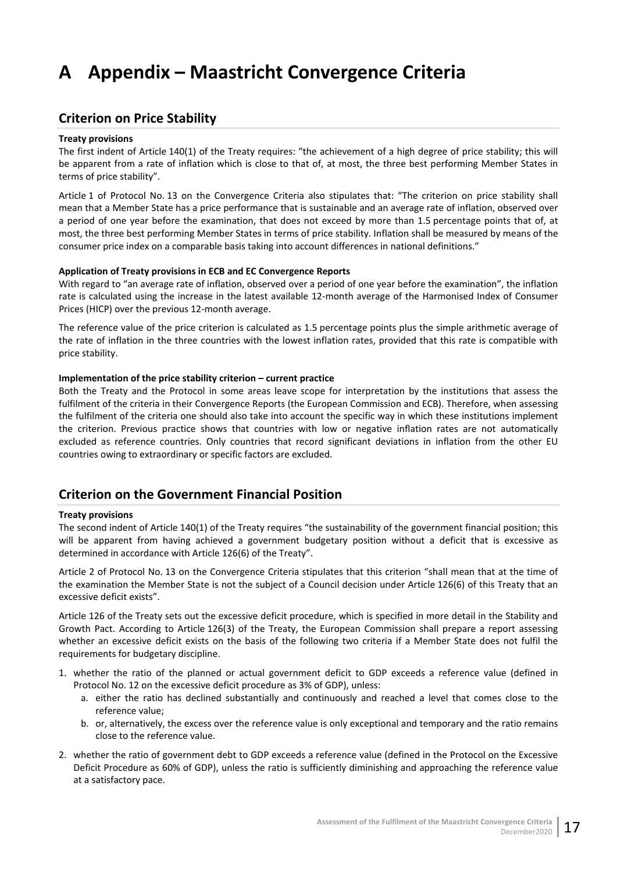# <span id="page-22-0"></span>**A Appendix – Maastricht Convergence Criteria**

# <span id="page-22-1"></span>**Criterion on Price Stability**

#### **Treaty provisions**

The first indent of Article 140(1) of the Treaty requires: "the achievement of a high degree of price stability; this will be apparent from a rate of inflation which is close to that of, at most, the three best performing Member States in terms of price stability".

Article 1 of Protocol No. 13 on the Convergence Criteria also stipulates that: "The criterion on price stability shall mean that a Member State has a price performance that is sustainable and an average rate of inflation, observed over a period of one year before the examination, that does not exceed by more than 1.5 percentage points that of, at most, the three best performing Member States in terms of price stability. Inflation shall be measured by means of the consumer price index on a comparable basis taking into account differences in national definitions."

#### **Application of Treaty provisions in ECB and EC Convergence Reports**

With regard to "an average rate of inflation, observed over a period of one year before the examination", the inflation rate is calculated using the increase in the latest available 12-month average of the Harmonised Index of Consumer Prices (HICP) over the previous 12-month average.

The reference value of the price criterion is calculated as 1.5 percentage points plus the simple arithmetic average of the rate of inflation in the three countries with the lowest inflation rates, provided that this rate is compatible with price stability.

#### **Implementation of the price stability criterion – current practice**

Both the Treaty and the Protocol in some areas leave scope for interpretation by the institutions that assess the fulfilment of the criteria in their Convergence Reports (the European Commission and ECB). Therefore, when assessing the fulfilment of the criteria one should also take into account the specific way in which these institutions implement the criterion. Previous practice shows that countries with low or negative inflation rates are not automatically excluded as reference countries. Only countries that record significant deviations in inflation from the other EU countries owing to extraordinary or specific factors are excluded.

## <span id="page-22-2"></span>**Criterion on the Government Financial Position**

#### **Treaty provisions**

The second indent of Article 140(1) of the Treaty requires "the sustainability of the government financial position; this will be apparent from having achieved a government budgetary position without a deficit that is excessive as determined in accordance with Article 126(6) of the Treaty".

Article 2 of Protocol No. 13 on the Convergence Criteria stipulates that this criterion "shall mean that at the time of the examination the Member State is not the subject of a Council decision under Article 126(6) of this Treaty that an excessive deficit exists".

Article 126 of the Treaty sets out the excessive deficit procedure, which is specified in more detail in the Stability and Growth Pact. According to Article 126(3) of the Treaty, the European Commission shall prepare a report assessing whether an excessive deficit exists on the basis of the following two criteria if a Member State does not fulfil the requirements for budgetary discipline.

- 1. whether the ratio of the planned or actual government deficit to GDP exceeds a reference value (defined in Protocol No. 12 on the excessive deficit procedure as 3% of GDP), unless:
	- a. either the ratio has declined substantially and continuously and reached a level that comes close to the reference value;
	- b. or, alternatively, the excess over the reference value is only exceptional and temporary and the ratio remains close to the reference value.
- 2. whether the ratio of government debt to GDP exceeds a reference value (defined in the Protocol on the Excessive Deficit Procedure as 60% of GDP), unless the ratio is sufficiently diminishing and approaching the reference value at a satisfactory pace.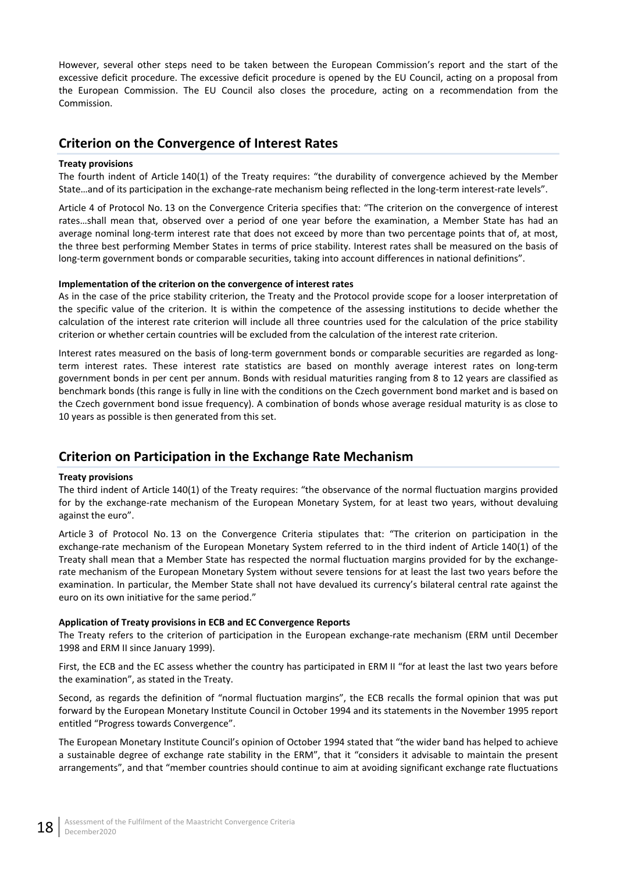However, several other steps need to be taken between the European Commission's report and the start of the excessive deficit procedure. The excessive deficit procedure is opened by the EU Council, acting on a proposal from the European Commission. The EU Council also closes the procedure, acting on a recommendation from the Commission.

# <span id="page-23-0"></span>**Criterion on the Convergence of Interest Rates**

#### **Treaty provisions**

The fourth indent of Article 140(1) of the Treaty requires: "the durability of convergence achieved by the Member State…and of its participation in the exchange-rate mechanism being reflected in the long-term interest-rate levels".

Article 4 of Protocol No. 13 on the Convergence Criteria specifies that: "The criterion on the convergence of interest rates…shall mean that, observed over a period of one year before the examination, a Member State has had an average nominal long-term interest rate that does not exceed by more than two percentage points that of, at most, the three best performing Member States in terms of price stability. Interest rates shall be measured on the basis of long-term government bonds or comparable securities, taking into account differences in national definitions".

#### **Implementation of the criterion on the convergence of interest rates**

As in the case of the price stability criterion, the Treaty and the Protocol provide scope for a looser interpretation of the specific value of the criterion. It is within the competence of the assessing institutions to decide whether the calculation of the interest rate criterion will include all three countries used for the calculation of the price stability criterion or whether certain countries will be excluded from the calculation of the interest rate criterion.

Interest rates measured on the basis of long-term government bonds or comparable securities are regarded as longterm interest rates. These interest rate statistics are based on monthly average interest rates on long-term government bonds in per cent per annum. Bonds with residual maturities ranging from 8 to 12 years are classified as benchmark bonds (this range is fully in line with the conditions on the Czech government bond market and is based on the Czech government bond issue frequency). A combination of bonds whose average residual maturity is as close to 10 years as possible is then generated from this set.

# <span id="page-23-1"></span>**Criterion on Participation in the Exchange Rate Mechanism**

#### **Treaty provisions**

The third indent of Article 140(1) of the Treaty requires: "the observance of the normal fluctuation margins provided for by the exchange-rate mechanism of the European Monetary System, for at least two years, without devaluing against the euro".

Article 3 of Protocol No. 13 on the Convergence Criteria stipulates that: "The criterion on participation in the exchange-rate mechanism of the European Monetary System referred to in the third indent of Article 140(1) of the Treaty shall mean that a Member State has respected the normal fluctuation margins provided for by the exchangerate mechanism of the European Monetary System without severe tensions for at least the last two years before the examination. In particular, the Member State shall not have devalued its currency's bilateral central rate against the euro on its own initiative for the same period."

#### **Application of Treaty provisions in ECB and EC Convergence Reports**

The Treaty refers to the criterion of participation in the European exchange-rate mechanism (ERM until December 1998 and ERM II since January 1999).

First, the ECB and the EC assess whether the country has participated in ERM II "for at least the last two years before the examination", as stated in the Treaty.

Second, as regards the definition of "normal fluctuation margins", the ECB recalls the formal opinion that was put forward by the European Monetary Institute Council in October 1994 and its statements in the November 1995 report entitled "Progress towards Convergence".

The European Monetary Institute Council's opinion of October 1994 stated that "the wider band has helped to achieve a sustainable degree of exchange rate stability in the ERM", that it "considers it advisable to maintain the present arrangements", and that "member countries should continue to aim at avoiding significant exchange rate fluctuations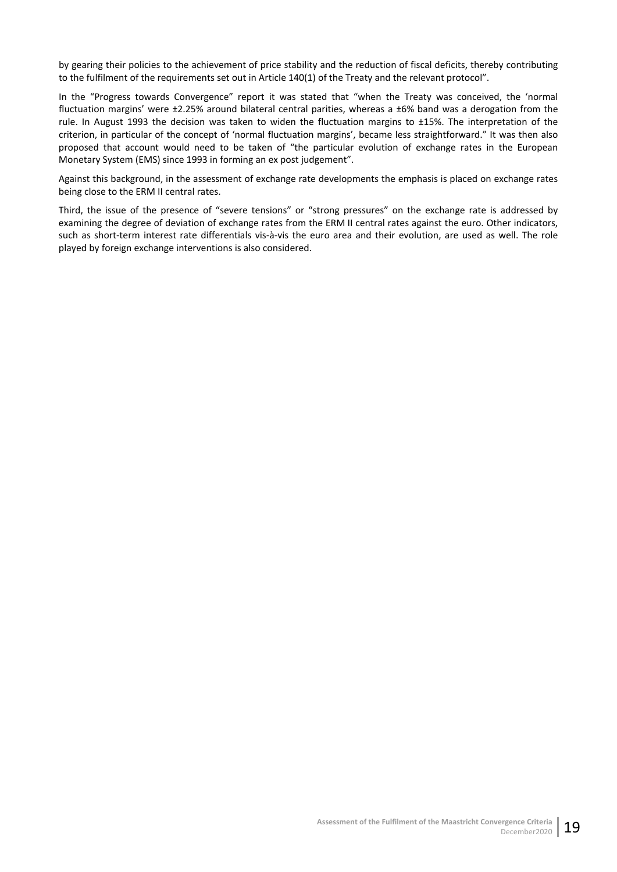by gearing their policies to the achievement of price stability and the reduction of fiscal deficits, thereby contributing to the fulfilment of the requirements set out in Article 140(1) of the Treaty and the relevant protocol".

In the "Progress towards Convergence" report it was stated that "when the Treaty was conceived, the 'normal fluctuation margins' were ±2.25% around bilateral central parities, whereas a ±6% band was a derogation from the rule. In August 1993 the decision was taken to widen the fluctuation margins to ±15%. The interpretation of the criterion, in particular of the concept of 'normal fluctuation margins', became less straightforward." It was then also proposed that account would need to be taken of "the particular evolution of exchange rates in the European Monetary System (EMS) since 1993 in forming an ex post judgement".

Against this background, in the assessment of exchange rate developments the emphasis is placed on exchange rates being close to the ERM II central rates.

Third, the issue of the presence of "severe tensions" or "strong pressures" on the exchange rate is addressed by examining the degree of deviation of exchange rates from the ERM II central rates against the euro. Other indicators, such as short-term interest rate differentials vis-à-vis the euro area and their evolution, are used as well. The role played by foreign exchange interventions is also considered.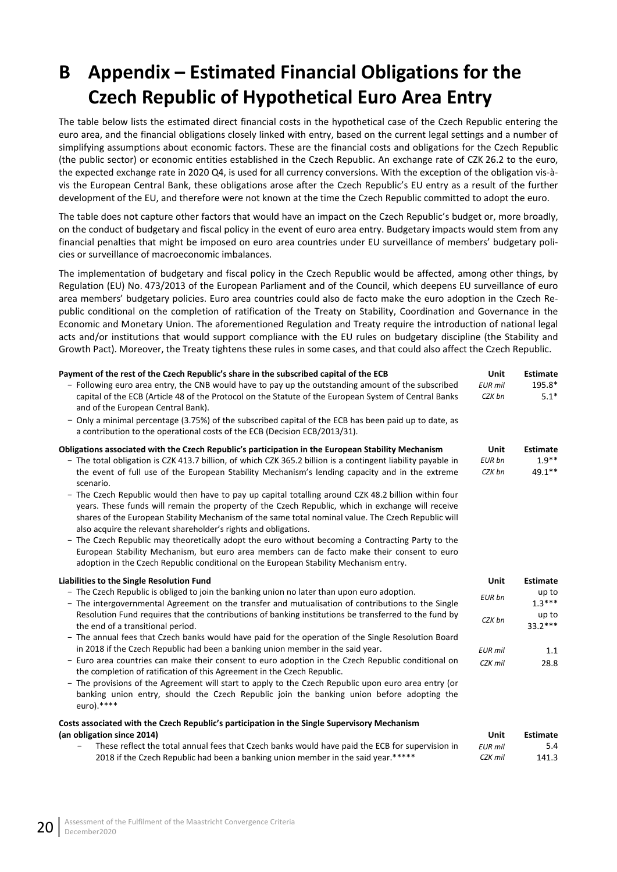# <span id="page-25-0"></span>**B Appendix – Estimated Financial Obligations for the Czech Republic of Hypothetical Euro Area Entry**

The table below lists the estimated direct financial costs in the hypothetical case of the Czech Republic entering the euro area, and the financial obligations closely linked with entry, based on the current legal settings and a number of simplifying assumptions about economic factors. These are the financial costs and obligations for the Czech Republic (the public sector) or economic entities established in the Czech Republic. An exchange rate of CZK 26.2 to the euro, the expected exchange rate in 2020 Q4, is used for all currency conversions. With the exception of the obligation vis-àvis the European Central Bank, these obligations arose after the Czech Republic's EU entry as a result of the further development of the EU, and therefore were not known at the time the Czech Republic committed to adopt the euro.

The table does not capture other factors that would have an impact on the Czech Republic's budget or, more broadly, on the conduct of budgetary and fiscal policy in the event of euro area entry. Budgetary impacts would stem from any financial penalties that might be imposed on euro area countries under EU surveillance of members' budgetary policies or surveillance of macroeconomic imbalances.

The implementation of budgetary and fiscal policy in the Czech Republic would be affected, among other things, by Regulation (EU) No. 473/2013 of the European Parliament and of the Council, which deepens EU surveillance of euro area members' budgetary policies. Euro area countries could also de facto make the euro adoption in the Czech Republic conditional on the completion of ratification of the Treaty on Stability, Coordination and Governance in the Economic and Monetary Union. The aforementioned Regulation and Treaty require the introduction of national legal acts and/or institutions that would support compliance with the EU rules on budgetary discipline (the Stability and Growth Pact). Moreover, the Treaty tightens these rules in some cases, and that could also affect the Czech Republic.

| Payment of the rest of the Czech Republic's share in the subscribed capital of the ECB<br>- Following euro area entry, the CNB would have to pay up the outstanding amount of the subscribed<br>capital of the ECB (Article 48 of the Protocol on the Statute of the European System of Central Banks<br>and of the European Central Bank).<br>- Only a minimal percentage (3.75%) of the subscribed capital of the ECB has been paid up to date, as<br>a contribution to the operational costs of the ECB (Decision ECB/2013/31).                                                                                                                                               | Unit<br><b>EUR</b> mil<br>CZK bn | <b>Estimate</b><br>195.8*<br>$5.1*$ |
|----------------------------------------------------------------------------------------------------------------------------------------------------------------------------------------------------------------------------------------------------------------------------------------------------------------------------------------------------------------------------------------------------------------------------------------------------------------------------------------------------------------------------------------------------------------------------------------------------------------------------------------------------------------------------------|----------------------------------|-------------------------------------|
| Obligations associated with the Czech Republic's participation in the European Stability Mechanism                                                                                                                                                                                                                                                                                                                                                                                                                                                                                                                                                                               | Unit                             | <b>Estimate</b>                     |
| - The total obligation is CZK 413.7 billion, of which CZK 365.2 billion is a contingent liability payable in                                                                                                                                                                                                                                                                                                                                                                                                                                                                                                                                                                     | <b>EUR bn</b>                    | $1.9**$                             |
| the event of full use of the European Stability Mechanism's lending capacity and in the extreme<br>scenario.                                                                                                                                                                                                                                                                                                                                                                                                                                                                                                                                                                     | CZK bn                           | 49.1**                              |
| - The Czech Republic would then have to pay up capital totalling around CZK 48.2 billion within four<br>years. These funds will remain the property of the Czech Republic, which in exchange will receive<br>shares of the European Stability Mechanism of the same total nominal value. The Czech Republic will<br>also acquire the relevant shareholder's rights and obligations.<br>- The Czech Republic may theoretically adopt the euro without becoming a Contracting Party to the<br>European Stability Mechanism, but euro area members can de facto make their consent to euro<br>adoption in the Czech Republic conditional on the European Stability Mechanism entry. |                                  |                                     |
| Liabilities to the Single Resolution Fund                                                                                                                                                                                                                                                                                                                                                                                                                                                                                                                                                                                                                                        | Unit                             | <b>Estimate</b>                     |
| - The Czech Republic is obliged to join the banking union no later than upon euro adoption.<br>- The intergovernmental Agreement on the transfer and mutualisation of contributions to the Single                                                                                                                                                                                                                                                                                                                                                                                                                                                                                | <b>EUR</b> bn                    | up to<br>$1.3***$                   |
| Resolution Fund requires that the contributions of banking institutions be transferred to the fund by<br>the end of a transitional period.                                                                                                                                                                                                                                                                                                                                                                                                                                                                                                                                       | CZK bn                           | up to<br>$33.2***$                  |
| - The annual fees that Czech banks would have paid for the operation of the Single Resolution Board                                                                                                                                                                                                                                                                                                                                                                                                                                                                                                                                                                              |                                  |                                     |
| in 2018 if the Czech Republic had been a banking union member in the said year.                                                                                                                                                                                                                                                                                                                                                                                                                                                                                                                                                                                                  | <b>EUR</b> mil                   | 1.1                                 |
| - Euro area countries can make their consent to euro adoption in the Czech Republic conditional on<br>the completion of ratification of this Agreement in the Czech Republic.                                                                                                                                                                                                                                                                                                                                                                                                                                                                                                    | CZK mil                          | 28.8                                |
| - The provisions of the Agreement will start to apply to the Czech Republic upon euro area entry (or<br>banking union entry, should the Czech Republic join the banking union before adopting the<br>euro).****                                                                                                                                                                                                                                                                                                                                                                                                                                                                  |                                  |                                     |
| Costs associated with the Czech Republic's participation in the Single Supervisory Mechanism                                                                                                                                                                                                                                                                                                                                                                                                                                                                                                                                                                                     |                                  |                                     |
| (an obligation since 2014)                                                                                                                                                                                                                                                                                                                                                                                                                                                                                                                                                                                                                                                       | <b>Unit</b>                      | <b>Estimate</b>                     |
|                                                                                                                                                                                                                                                                                                                                                                                                                                                                                                                                                                                                                                                                                  |                                  |                                     |

| These reflect the total annual fees that Czech banks would have paid the ECB for supervision in | EUR mil | 5.4   |
|-------------------------------------------------------------------------------------------------|---------|-------|
| 2018 if the Czech Republic had been a banking union member in the said year.*****               | CZK mil | 141.3 |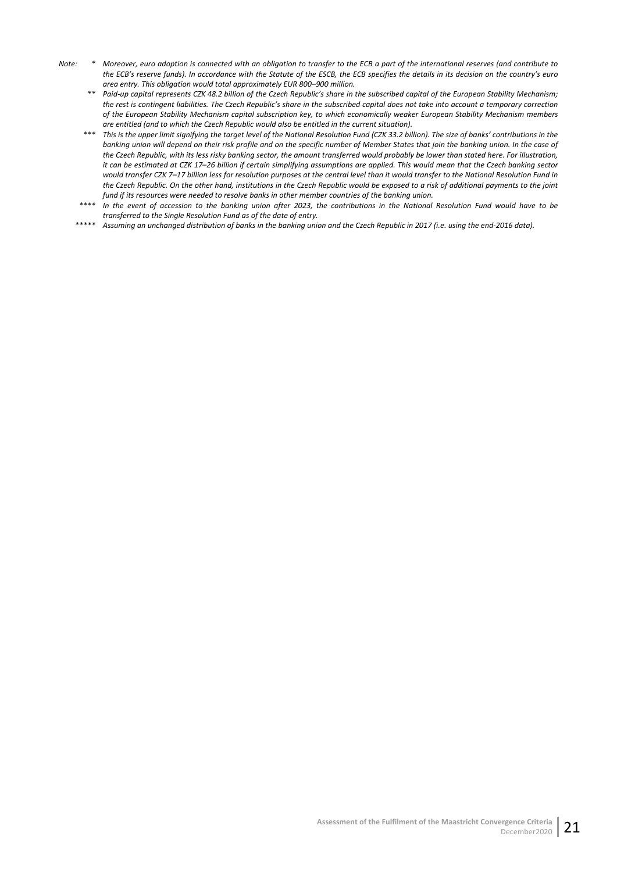- *Note: \* Moreover, euro adoption is connected with an obligation to transfer to the ECB a part of the international reserves (and contribute to the ECB's reserve funds). In accordance with the Statute of the ESCB, the ECB specifies the details in its decision on the country's euro area entry. This obligation would total approximately EUR 800–900 million.*
	- *\*\* Paid-up capital represents CZK 48.2 billion of the Czech Republic's share in the subscribed capital of the European Stability Mechanism; the rest is contingent liabilities. The Czech Republic's share in the subscribed capital does not take into account a temporary correction of the European Stability Mechanism capital subscription key, to which economically weaker European Stability Mechanism members are entitled (and to which the Czech Republic would also be entitled in the current situation).*
	- *\*\*\* This is the upper limit signifying the target level of the National Resolution Fund (CZK 33.2 billion). The size of banks' contributions in the*  banking union will depend on their risk profile and on the specific number of Member States that join the banking union. In the case of *the Czech Republic, with its less risky banking sector, the amount transferred would probably be lower than stated here. For illustration, it can be estimated at CZK 17–26 billion if certain simplifying assumptions are applied. This would mean that the Czech banking sector would transfer CZK 7–17 billion less for resolution purposes at the central level than it would transfer to the National Resolution Fund in the Czech Republic. On the other hand, institutions in the Czech Republic would be exposed to a risk of additional payments to the joint fund if its resources were needed to resolve banks in other member countries of the banking union.*
	- *\*\*\*\* In the event of accession to the banking union after 2023, the contributions in the National Resolution Fund would have to be transferred to the Single Resolution Fund as of the date of entry.*
	- *\*\*\*\*\* Assuming an unchanged distribution of banks in the banking union and the Czech Republic in 2017 (i.e. using the end-2016 data).*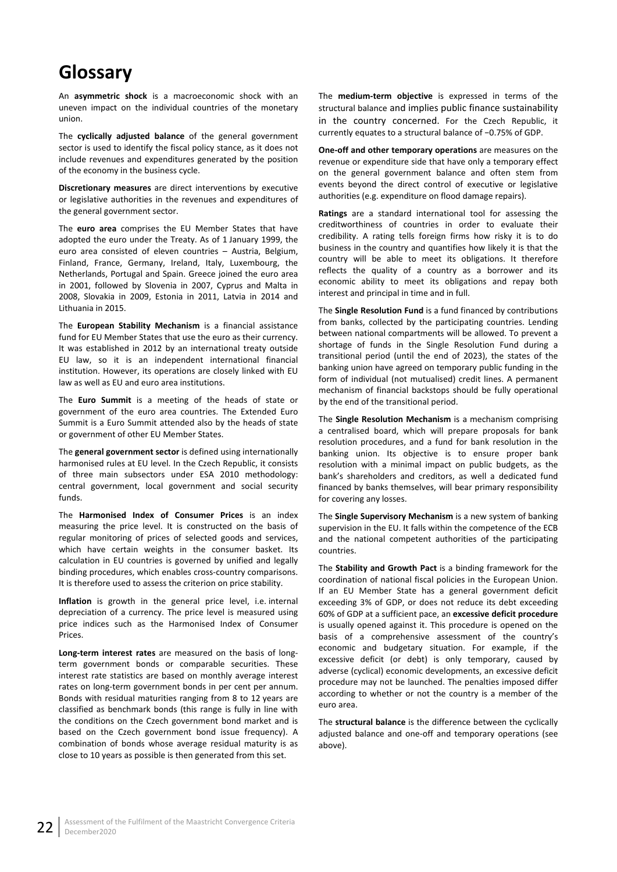# <span id="page-27-0"></span>**Glossary**

An **asymmetric shock** is a macroeconomic shock with an uneven impact on the individual countries of the monetary union.

The **cyclically adjusted balance** of the general government sector is used to identify the fiscal policy stance, as it does not include revenues and expenditures generated by the position of the economy in the business cycle.

**Discretionary measures** are direct interventions by executive or legislative authorities in the revenues and expenditures of the general government sector.

The **euro area** comprises the EU Member States that have adopted the euro under the Treaty. As of 1 January 1999, the euro area consisted of eleven countries – Austria, Belgium, Finland, France, Germany, Ireland, Italy, Luxembourg, the Netherlands, Portugal and Spain. Greece joined the euro area in 2001, followed by Slovenia in 2007, Cyprus and Malta in 2008, Slovakia in 2009, Estonia in 2011, Latvia in 2014 and Lithuania in 2015.

The **European Stability Mechanism** is a financial assistance fund for EU Member States that use the euro as their currency. It was established in 2012 by an international treaty outside EU law, so it is an independent international financial institution. However, its operations are closely linked with EU law as well as EU and euro area institutions.

The **Euro Summit** is a meeting of the heads of state or government of the euro area countries. The Extended Euro Summit is a Euro Summit attended also by the heads of state or government of other EU Member States.

The **general government sector** is defined using internationally harmonised rules at EU level. In the Czech Republic, it consists of three main subsectors under ESA 2010 methodology: central government, local government and social security funds.

The **Harmonised Index of Consumer Prices** is an index measuring the price level. It is constructed on the basis of regular monitoring of prices of selected goods and services, which have certain weights in the consumer basket. Its calculation in EU countries is governed by unified and legally binding procedures, which enables cross-country comparisons. It is therefore used to assess the criterion on price stability.

**Inflation** is growth in the general price level, i.e. internal depreciation of a currency. The price level is measured using price indices such as the Harmonised Index of Consumer Prices.

**Long-term interest rates** are measured on the basis of longterm government bonds or comparable securities. These interest rate statistics are based on monthly average interest rates on long-term government bonds in per cent per annum. Bonds with residual maturities ranging from 8 to 12 years are classified as benchmark bonds (this range is fully in line with the conditions on the Czech government bond market and is based on the Czech government bond issue frequency). A combination of bonds whose average residual maturity is as close to 10 years as possible is then generated from this set.

The **medium-term objective** is expressed in terms of the structural balance and implies public finance sustainability in the country concerned. For the Czech Republic, it currently equates to a structural balance of −0.75% of GDP.

**One-off and other temporary operations** are measures on the revenue or expenditure side that have only a temporary effect on the general government balance and often stem from events beyond the direct control of executive or legislative authorities (e.g. expenditure on flood damage repairs).

**Ratings** are a standard international tool for assessing the creditworthiness of countries in order to evaluate their credibility. A rating tells foreign firms how risky it is to do business in the country and quantifies how likely it is that the country will be able to meet its obligations. It therefore reflects the quality of a country as a borrower and its economic ability to meet its obligations and repay both interest and principal in time and in full.

The **Single Resolution Fund** is a fund financed by contributions from banks, collected by the participating countries. Lending between national compartments will be allowed. To prevent a shortage of funds in the Single Resolution Fund during a transitional period (until the end of 2023), the states of the banking union have agreed on temporary public funding in the form of individual (not mutualised) credit lines. A permanent mechanism of financial backstops should be fully operational by the end of the transitional period.

The **Single Resolution Mechanism** is a mechanism comprising a centralised board, which will prepare proposals for bank resolution procedures, and a fund for bank resolution in the banking union. Its objective is to ensure proper bank resolution with a minimal impact on public budgets, as the bank's shareholders and creditors, as well a dedicated fund financed by banks themselves, will bear primary responsibility for covering any losses.

The **Single Supervisory Mechanism** is a new system of banking supervision in the EU. It falls within the competence of the ECB and the national competent authorities of the participating countries.

The **Stability and Growth Pact** is a binding framework for the coordination of national fiscal policies in the European Union. If an EU Member State has a general government deficit exceeding 3% of GDP, or does not reduce its debt exceeding 60% of GDP at a sufficient pace, an **excessive deficit procedure** is usually opened against it. This procedure is opened on the basis of a comprehensive assessment of the country's economic and budgetary situation. For example, if the excessive deficit (or debt) is only temporary, caused by adverse (cyclical) economic developments, an excessive deficit procedure may not be launched. The penalties imposed differ according to whether or not the country is a member of the euro area.

The **structural balance** is the difference between the cyclically adjusted balance and one-off and temporary operations (see above).